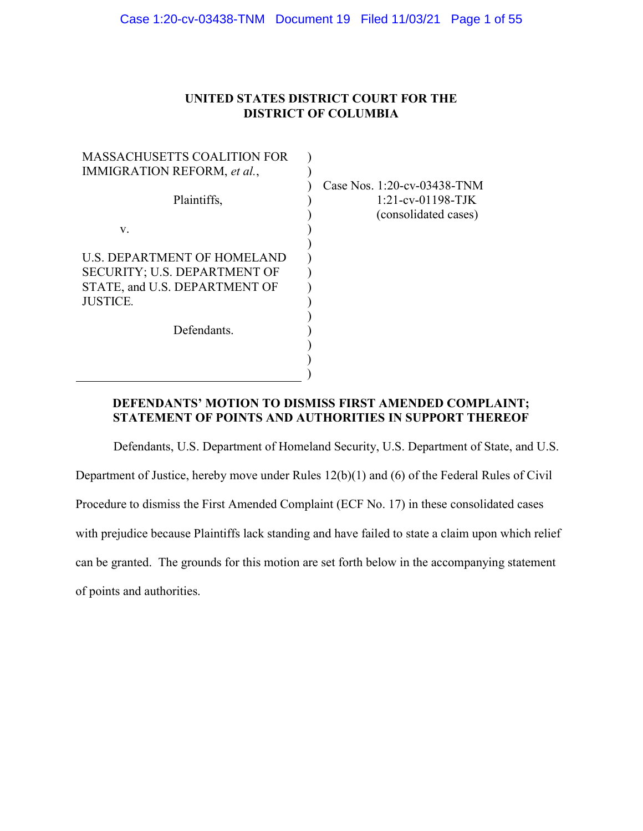## UNITED STATES DISTRICT COURT FOR THE DISTRICT OF COLUMBIA

| <b>MASSACHUSETTS COALITION FOR</b>                                                                                     |                                                                             |
|------------------------------------------------------------------------------------------------------------------------|-----------------------------------------------------------------------------|
| IMMIGRATION REFORM, et al.,                                                                                            |                                                                             |
| Plaintiffs,                                                                                                            | Case Nos. 1:20-cv-03438-TNM<br>$1:21$ -cv-01198-TJK<br>(consolidated cases) |
| V.                                                                                                                     |                                                                             |
| <b>U.S. DEPARTMENT OF HOMELAND</b><br>SECURITY; U.S. DEPARTMENT OF<br>STATE, and U.S. DEPARTMENT OF<br><b>JUSTICE.</b> |                                                                             |
| Defendants.                                                                                                            |                                                                             |
|                                                                                                                        |                                                                             |
|                                                                                                                        |                                                                             |

## DEFENDANTS' MOTION TO DISMISS FIRST AMENDED COMPLAINT; STATEMENT OF POINTS AND AUTHORITIES IN SUPPORT THEREOF

)

Defendants, U.S. Department of Homeland Security, U.S. Department of State, and U.S. Department of Justice, hereby move under Rules 12(b)(1) and (6) of the Federal Rules of Civil Procedure to dismiss the First Amended Complaint (ECF No. 17) in these consolidated cases with prejudice because Plaintiffs lack standing and have failed to state a claim upon which relief can be granted. The grounds for this motion are set forth below in the accompanying statement of points and authorities.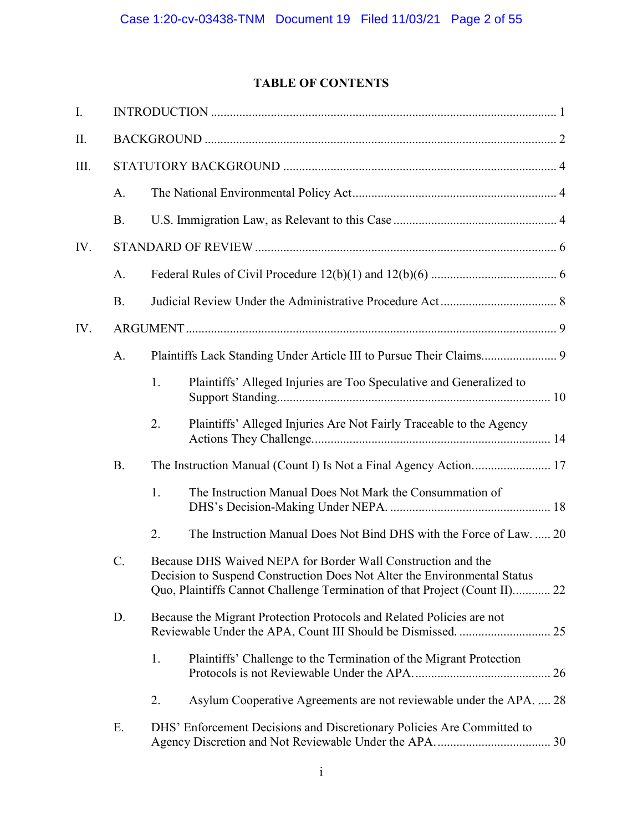## TABLE OF CONTENTS

| I.   |             |                                                                                                                                                                                                                        |                                                                        |  |
|------|-------------|------------------------------------------------------------------------------------------------------------------------------------------------------------------------------------------------------------------------|------------------------------------------------------------------------|--|
| II.  |             |                                                                                                                                                                                                                        |                                                                        |  |
| III. |             |                                                                                                                                                                                                                        |                                                                        |  |
|      | A.          |                                                                                                                                                                                                                        |                                                                        |  |
|      | <b>B.</b>   |                                                                                                                                                                                                                        |                                                                        |  |
| IV.  |             |                                                                                                                                                                                                                        |                                                                        |  |
|      | A.          |                                                                                                                                                                                                                        |                                                                        |  |
|      | <b>B.</b>   |                                                                                                                                                                                                                        |                                                                        |  |
| IV.  |             |                                                                                                                                                                                                                        |                                                                        |  |
|      | A.          |                                                                                                                                                                                                                        |                                                                        |  |
|      |             | 1.                                                                                                                                                                                                                     | Plaintiffs' Alleged Injuries are Too Speculative and Generalized to    |  |
|      |             | 2.                                                                                                                                                                                                                     | Plaintiffs' Alleged Injuries Are Not Fairly Traceable to the Agency    |  |
|      | <b>B.</b>   |                                                                                                                                                                                                                        |                                                                        |  |
|      |             | 1.                                                                                                                                                                                                                     | The Instruction Manual Does Not Mark the Consummation of               |  |
|      |             | 2.                                                                                                                                                                                                                     | The Instruction Manual Does Not Bind DHS with the Force of Law 20      |  |
|      | $C_{\cdot}$ | Because DHS Waived NEPA for Border Wall Construction and the<br>Decision to Suspend Construction Does Not Alter the Environmental Status<br>Quo, Plaintiffs Cannot Challenge Termination of that Project (Count II) 22 |                                                                        |  |
|      | D.          |                                                                                                                                                                                                                        | Because the Migrant Protection Protocols and Related Policies are not  |  |
|      |             | 1.                                                                                                                                                                                                                     | Plaintiffs' Challenge to the Termination of the Migrant Protection     |  |
|      |             | 2.                                                                                                                                                                                                                     | Asylum Cooperative Agreements are not reviewable under the APA.  28    |  |
|      | Ε.          |                                                                                                                                                                                                                        | DHS' Enforcement Decisions and Discretionary Policies Are Committed to |  |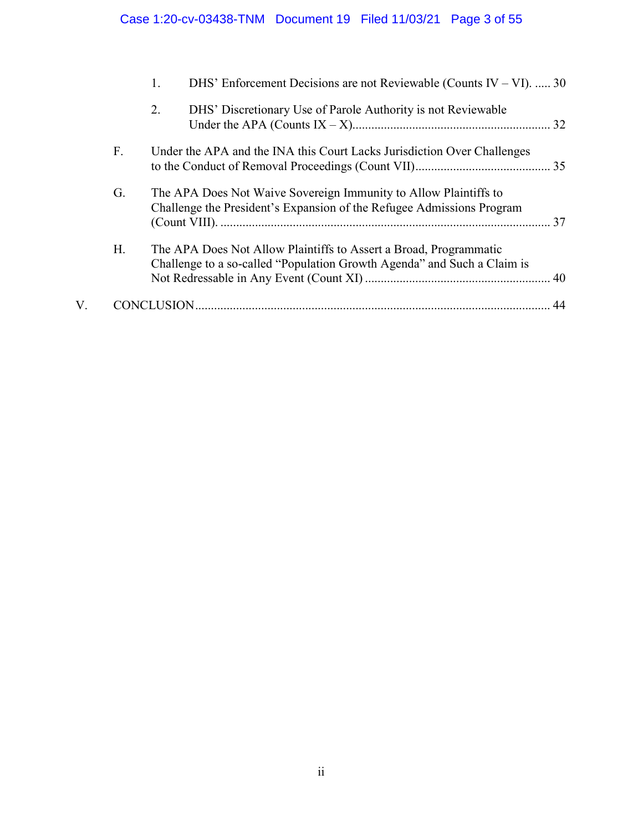# Case 1:20-cv-03438-TNM Document 19 Filed 11/03/21 Page 3 of 55

|    |    | DHS' Enforcement Decisions are not Reviewable (Counts IV – VI).  30<br>1.                                                                    |    |
|----|----|----------------------------------------------------------------------------------------------------------------------------------------------|----|
|    |    | DHS' Discretionary Use of Parole Authority is not Reviewable<br>2.                                                                           |    |
|    | F. | Under the APA and the INA this Court Lacks Jurisdiction Over Challenges                                                                      |    |
|    | G. | The APA Does Not Waive Sovereign Immunity to Allow Plaintiffs to<br>Challenge the President's Expansion of the Refugee Admissions Program    |    |
|    | Н. | The APA Does Not Allow Plaintiffs to Assert a Broad, Programmatic<br>Challenge to a so-called "Population Growth Agenda" and Such a Claim is |    |
| V. |    |                                                                                                                                              | 44 |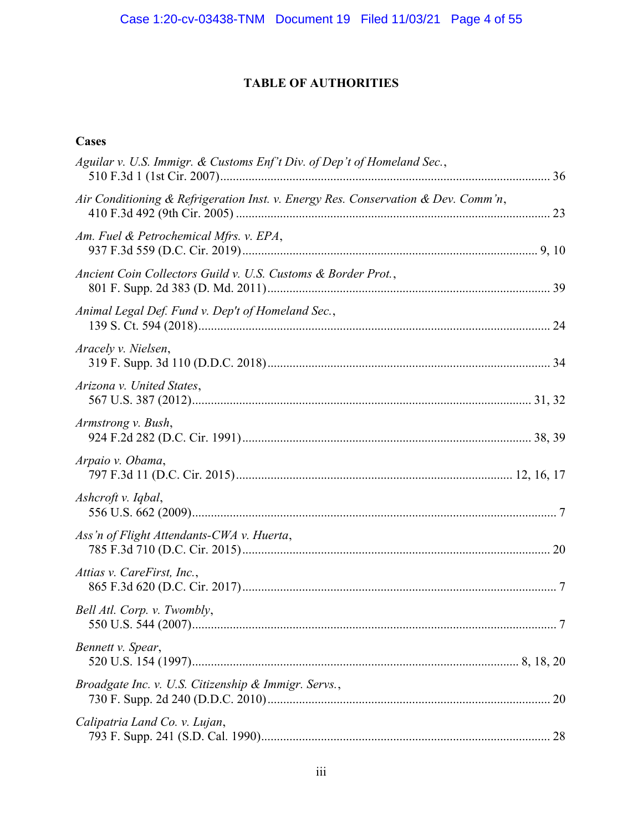## TABLE OF AUTHORITIES

## Cases

| Aguilar v. U.S. Immigr. & Customs Enf't Div. of Dep't of Homeland Sec.,           |   |
|-----------------------------------------------------------------------------------|---|
| Air Conditioning & Refrigeration Inst. v. Energy Res. Conservation & Dev. Comm'n, |   |
| Am. Fuel & Petrochemical Mfrs. v. EPA,                                            |   |
| Ancient Coin Collectors Guild v. U.S. Customs & Border Prot.,                     |   |
| Animal Legal Def. Fund v. Dep't of Homeland Sec.,                                 |   |
| Aracely v. Nielsen,                                                               |   |
| Arizona v. United States,                                                         |   |
| Armstrong v. Bush,                                                                |   |
| Arpaio v. Obama,                                                                  |   |
| Ashcroft v. Iqbal,                                                                |   |
| Ass'n of Flight Attendants-CWA v. Huerta,                                         |   |
| Attias v. CareFirst, Inc.,                                                        |   |
| Bell Atl. Corp. v. Twombly,                                                       | 7 |
| Bennett v. Spear,                                                                 |   |
| Broadgate Inc. v. U.S. Citizenship & Immigr. Servs.,                              |   |
| Calipatria Land Co. v. Lujan,                                                     |   |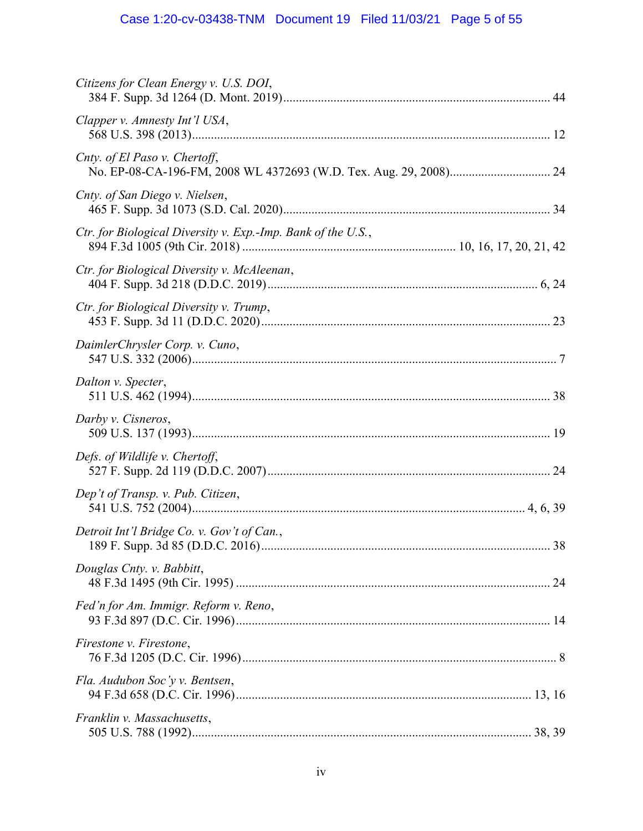# Case 1:20-cv-03438-TNM Document 19 Filed 11/03/21 Page 5 of 55

| Citizens for Clean Energy v. U.S. DOI,                       |
|--------------------------------------------------------------|
| Clapper v. Amnesty Int'l USA,                                |
| Cnty. of El Paso v. Chertoff,                                |
| Cnty. of San Diego v. Nielsen,                               |
| Ctr. for Biological Diversity v. Exp.-Imp. Bank of the U.S., |
| Ctr. for Biological Diversity v. McAleenan,                  |
| Ctr. for Biological Diversity v. Trump,                      |
| DaimlerChrysler Corp. v. Cuno,                               |
| Dalton v. Specter,                                           |
| Darby v. Cisneros,                                           |
| Defs. of Wildlife v. Chertoff,                               |
| Dep't of Transp. v. Pub. Citizen,                            |
| Detroit Int'l Bridge Co. v. Gov't of Can.,<br>.38            |
| Douglas Cnty. v. Babbitt,                                    |
| Fed'n for Am. Immigr. Reform v. Reno,                        |
| Firestone v. Firestone,                                      |
| Fla. Audubon Soc'y v. Bentsen,                               |
| Franklin v. Massachusetts,                                   |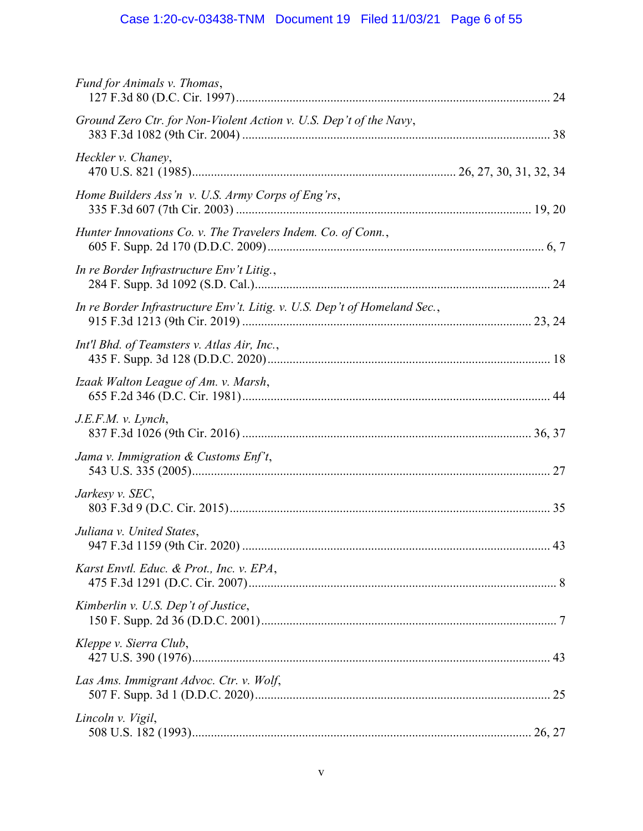# Case 1:20-cv-03438-TNM Document 19 Filed 11/03/21 Page 6 of 55

| Fund for Animals v. Thomas,                                               |    |
|---------------------------------------------------------------------------|----|
| Ground Zero Ctr. for Non-Violent Action v. U.S. Dep't of the Navy,        |    |
| Heckler v. Chaney,                                                        |    |
| Home Builders Ass'n v. U.S. Army Corps of Eng'rs,                         |    |
| Hunter Innovations Co. v. The Travelers Indem. Co. of Conn.,              |    |
| In re Border Infrastructure Env't Litig.,                                 |    |
| In re Border Infrastructure Env't. Litig. v. U.S. Dep't of Homeland Sec., |    |
| Int'l Bhd. of Teamsters v. Atlas Air, Inc.,                               |    |
| Izaak Walton League of Am. v. Marsh,                                      |    |
| J.E.F.M. v. Lynch,                                                        |    |
| Jama v. Immigration & Customs Enf't,                                      |    |
| Jarkesy v. SEC,                                                           |    |
| Juliana v. United States,                                                 | 43 |
| Karst Envtl. Educ. & Prot., Inc. v. EPA,                                  |    |
| Kimberlin v. U.S. Dep't of Justice,                                       |    |
| Kleppe v. Sierra Club,                                                    |    |
| Las Ams. Immigrant Advoc. Ctr. v. Wolf,                                   |    |
| Lincoln v. Vigil,                                                         |    |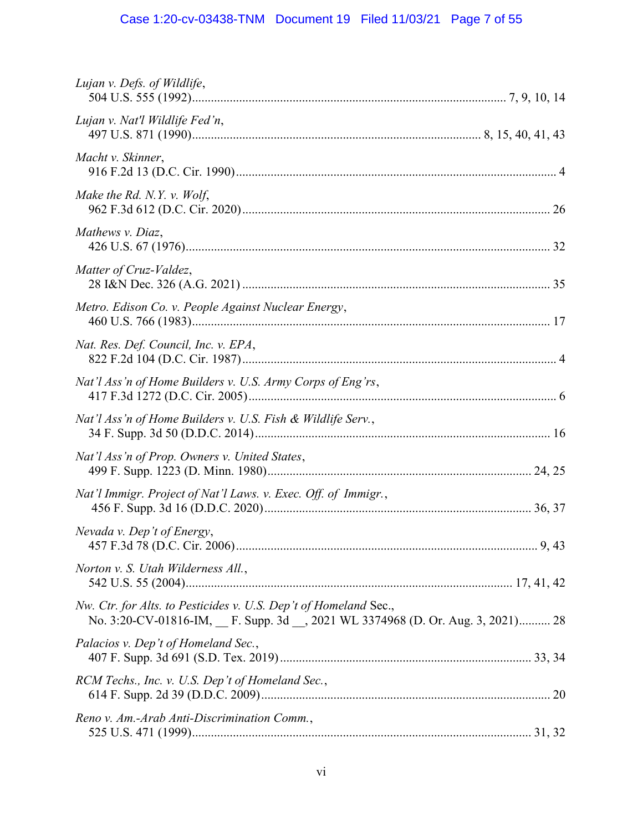# Case 1:20-cv-03438-TNM Document 19 Filed 11/03/21 Page 7 of 55

| Lujan v. Defs. of Wildlife,                                                                                                                        |
|----------------------------------------------------------------------------------------------------------------------------------------------------|
| Lujan v. Nat'l Wildlife Fed'n,                                                                                                                     |
| Macht v. Skinner,                                                                                                                                  |
| Make the Rd. N.Y. v. Wolf,                                                                                                                         |
| Mathews v. Diaz,                                                                                                                                   |
| Matter of Cruz-Valdez,                                                                                                                             |
| Metro. Edison Co. v. People Against Nuclear Energy,                                                                                                |
| Nat. Res. Def. Council, Inc. v. EPA,                                                                                                               |
| Nat'l Ass'n of Home Builders v. U.S. Army Corps of Eng'rs,                                                                                         |
| Nat'l Ass'n of Home Builders v. U.S. Fish & Wildlife Serv.,                                                                                        |
| Nat'l Ass'n of Prop. Owners v. United States,                                                                                                      |
| Nat'l Immigr. Project of Nat'l Laws. v. Exec. Off. of Immigr.,                                                                                     |
| Nevada v. Dep't of Energy,                                                                                                                         |
| Norton v. S. Utah Wilderness All.,                                                                                                                 |
| Nw. Ctr. for Alts. to Pesticides v. U.S. Dep't of Homeland Sec.,<br>No. 3:20-CV-01816-IM, F. Supp. 3d __, 2021 WL 3374968 (D. Or. Aug. 3, 2021) 28 |
| Palacios v. Dep't of Homeland Sec.,                                                                                                                |
| RCM Techs., Inc. v. U.S. Dep't of Homeland Sec.,                                                                                                   |
| Reno v. Am.-Arab Anti-Discrimination Comm.,                                                                                                        |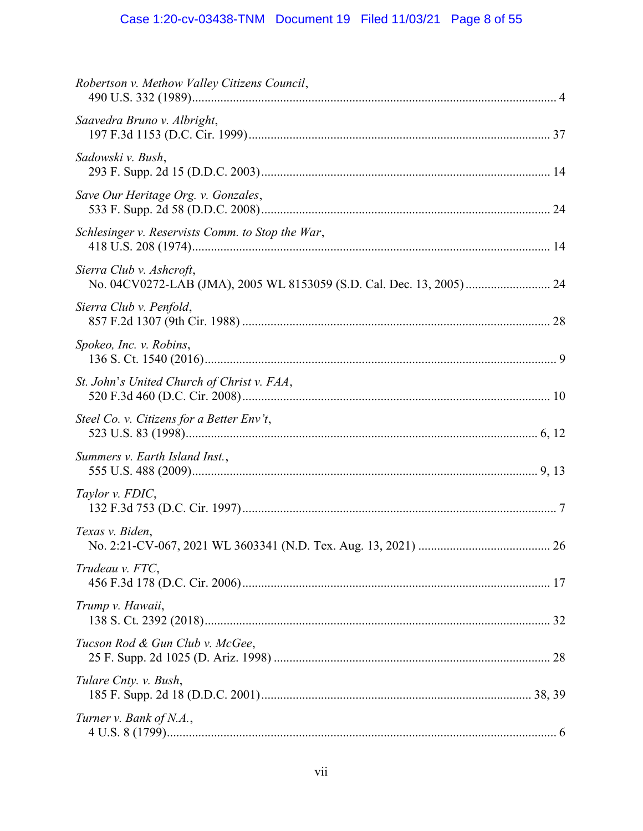# Case 1:20-cv-03438-TNM Document 19 Filed 11/03/21 Page 8 of 55

| Robertson v. Methow Valley Citizens Council,     |  |
|--------------------------------------------------|--|
| Saavedra Bruno v. Albright,                      |  |
| Sadowski v. Bush,                                |  |
| Save Our Heritage Org. v. Gonzales,              |  |
| Schlesinger v. Reservists Comm. to Stop the War, |  |
| Sierra Club v. Ashcroft,                         |  |
| Sierra Club v. Penfold,                          |  |
| Spokeo, Inc. v. Robins,                          |  |
| St. John's United Church of Christ v. FAA,       |  |
| Steel Co. v. Citizens for a Better Env't,        |  |
| Summers v. Earth Island Inst.,                   |  |
| Taylor v. FDIC,                                  |  |
| Texas v. Biden,                                  |  |
| Trudeau v. FTC,                                  |  |
| Trump v. Hawaii,                                 |  |
| Tucson Rod & Gun Club v. McGee,                  |  |
| Tulare Cnty. v. Bush,                            |  |
| Turner v. Bank of N.A.,                          |  |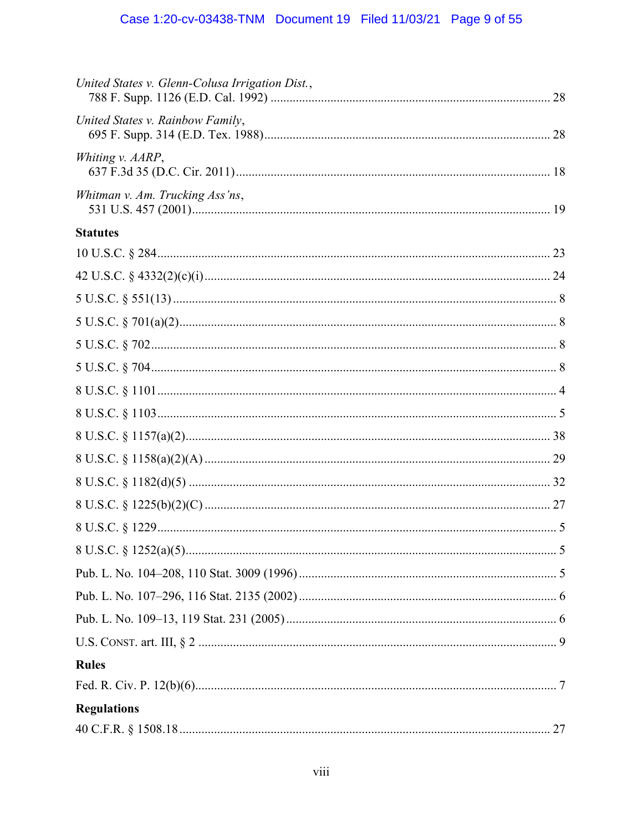| United States v. Glenn-Colusa Irrigation Dist., |
|-------------------------------------------------|
| United States v. Rainbow Family,                |
| Whiting v. AARP,                                |
| Whitman v. Am. Trucking Ass'ns,                 |
| <b>Statutes</b>                                 |
|                                                 |
|                                                 |
|                                                 |
|                                                 |
|                                                 |
|                                                 |
|                                                 |
|                                                 |
|                                                 |
|                                                 |
|                                                 |
|                                                 |
|                                                 |
|                                                 |
|                                                 |
|                                                 |
|                                                 |
|                                                 |
| <b>Rules</b>                                    |
|                                                 |
| <b>Regulations</b>                              |
|                                                 |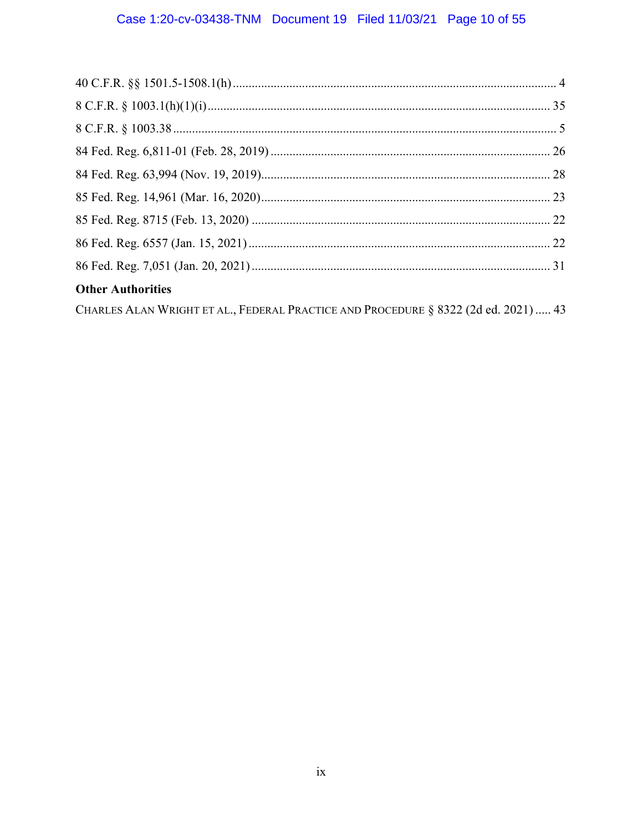# Case 1:20-cv-03438-TNM Document 19 Filed 11/03/21 Page 10 of 55

| <b>Other Authorities</b>                                                            |  |
|-------------------------------------------------------------------------------------|--|
| Charles Alan Wright et al., Federal Practice and Procedure § 8322 (2d ed. 2021)  43 |  |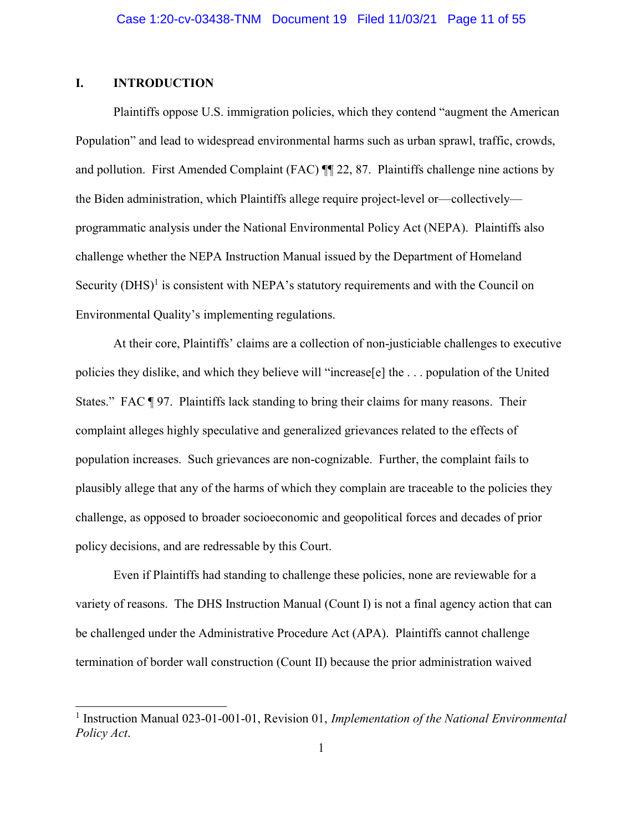### I. INTRODUCTION

e<br>L

Plaintiffs oppose U.S. immigration policies, which they contend "augment the American Population" and lead to widespread environmental harms such as urban sprawl, traffic, crowds, and pollution. First Amended Complaint (FAC) ¶¶ 22, 87. Plaintiffs challenge nine actions by the Biden administration, which Plaintiffs allege require project-level or—collectively programmatic analysis under the National Environmental Policy Act (NEPA). Plaintiffs also challenge whether the NEPA Instruction Manual issued by the Department of Homeland Security  $(DHS)^1$  is consistent with NEPA's statutory requirements and with the Council on Environmental Quality's implementing regulations.

At their core, Plaintiffs' claims are a collection of non-justiciable challenges to executive policies they dislike, and which they believe will "increase[e] the . . . population of the United States." FAC ¶ 97. Plaintiffs lack standing to bring their claims for many reasons. Their complaint alleges highly speculative and generalized grievances related to the effects of population increases. Such grievances are non-cognizable. Further, the complaint fails to plausibly allege that any of the harms of which they complain are traceable to the policies they challenge, as opposed to broader socioeconomic and geopolitical forces and decades of prior policy decisions, and are redressable by this Court.

Even if Plaintiffs had standing to challenge these policies, none are reviewable for a variety of reasons. The DHS Instruction Manual (Count I) is not a final agency action that can be challenged under the Administrative Procedure Act (APA). Plaintiffs cannot challenge termination of border wall construction (Count II) because the prior administration waived

<sup>&</sup>lt;sup>1</sup> Instruction Manual 023-01-001-01, Revision 01, Implementation of the National Environmental Policy Act.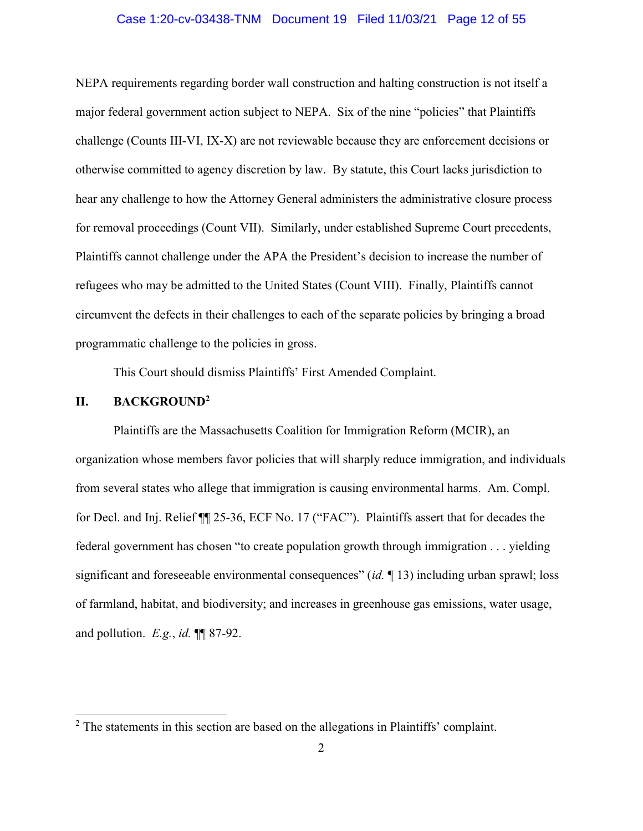#### Case 1:20-cv-03438-TNM Document 19 Filed 11/03/21 Page 12 of 55

NEPA requirements regarding border wall construction and halting construction is not itself a major federal government action subject to NEPA. Six of the nine "policies" that Plaintiffs challenge (Counts III-VI, IX-X) are not reviewable because they are enforcement decisions or otherwise committed to agency discretion by law. By statute, this Court lacks jurisdiction to hear any challenge to how the Attorney General administers the administrative closure process for removal proceedings (Count VII). Similarly, under established Supreme Court precedents, Plaintiffs cannot challenge under the APA the President's decision to increase the number of refugees who may be admitted to the United States (Count VIII). Finally, Plaintiffs cannot circumvent the defects in their challenges to each of the separate policies by bringing a broad programmatic challenge to the policies in gross.

This Court should dismiss Plaintiffs' First Amended Complaint.

#### II. BACKGROUND<sup>2</sup>

e<br>L

Plaintiffs are the Massachusetts Coalition for Immigration Reform (MCIR), an organization whose members favor policies that will sharply reduce immigration, and individuals from several states who allege that immigration is causing environmental harms. Am. Compl. for Decl. and Inj. Relief ¶¶ 25-36, ECF No. 17 ("FAC"). Plaintiffs assert that for decades the federal government has chosen "to create population growth through immigration . . . yielding significant and foreseeable environmental consequences" (id.  $\parallel$  13) including urban sprawl; loss of farmland, habitat, and biodiversity; and increases in greenhouse gas emissions, water usage, and pollution.  $E.g., id. \P\P$  87-92.

 $2$  The statements in this section are based on the allegations in Plaintiffs' complaint.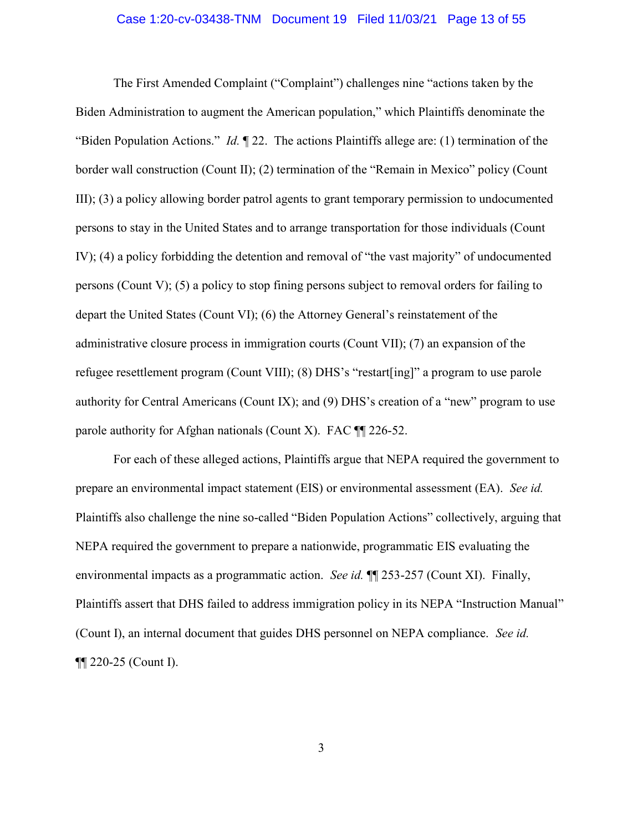#### Case 1:20-cv-03438-TNM Document 19 Filed 11/03/21 Page 13 of 55

The First Amended Complaint ("Complaint") challenges nine "actions taken by the Biden Administration to augment the American population," which Plaintiffs denominate the "Biden Population Actions." Id.  $\P$  22. The actions Plaintiffs allege are: (1) termination of the border wall construction (Count II); (2) termination of the "Remain in Mexico" policy (Count III); (3) a policy allowing border patrol agents to grant temporary permission to undocumented persons to stay in the United States and to arrange transportation for those individuals (Count IV); (4) a policy forbidding the detention and removal of "the vast majority" of undocumented persons (Count V); (5) a policy to stop fining persons subject to removal orders for failing to depart the United States (Count VI); (6) the Attorney General's reinstatement of the administrative closure process in immigration courts (Count VII); (7) an expansion of the refugee resettlement program (Count VIII); (8) DHS's "restart[ing]" a program to use parole authority for Central Americans (Count IX); and (9) DHS's creation of a "new" program to use parole authority for Afghan nationals (Count X). FAC ¶¶ 226-52.

For each of these alleged actions, Plaintiffs argue that NEPA required the government to prepare an environmental impact statement (EIS) or environmental assessment (EA). See id. Plaintiffs also challenge the nine so-called "Biden Population Actions" collectively, arguing that NEPA required the government to prepare a nationwide, programmatic EIS evaluating the environmental impacts as a programmatic action. See id.  $\P$  253-257 (Count XI). Finally, Plaintiffs assert that DHS failed to address immigration policy in its NEPA "Instruction Manual" (Count I), an internal document that guides DHS personnel on NEPA compliance. See id. ¶¶ 220-25 (Count I).

3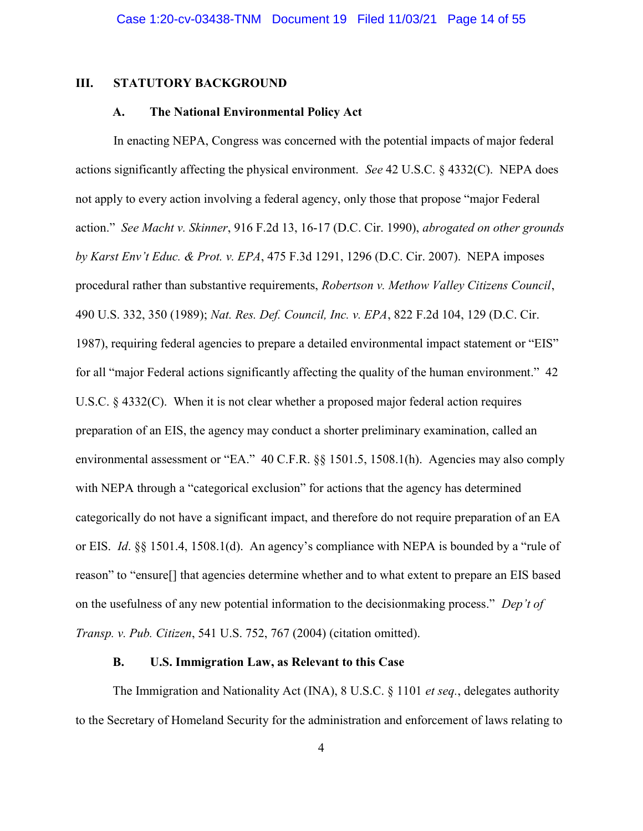#### III. STATUTORY BACKGROUND

#### A. The National Environmental Policy Act

 In enacting NEPA, Congress was concerned with the potential impacts of major federal actions significantly affecting the physical environment. *See* 42 U.S.C.  $\S$  4332(C). NEPA does not apply to every action involving a federal agency, only those that propose "major Federal action." See Macht v. Skinner, 916 F.2d 13, 16-17 (D.C. Cir. 1990), abrogated on other grounds by Karst Env't Educ. & Prot. v. EPA, 475 F.3d 1291, 1296 (D.C. Cir. 2007). NEPA imposes procedural rather than substantive requirements, Robertson v. Methow Valley Citizens Council, 490 U.S. 332, 350 (1989); Nat. Res. Def. Council, Inc. v. EPA, 822 F.2d 104, 129 (D.C. Cir. 1987), requiring federal agencies to prepare a detailed environmental impact statement or "EIS" for all "major Federal actions significantly affecting the quality of the human environment." 42 U.S.C. § 4332(C). When it is not clear whether a proposed major federal action requires preparation of an EIS, the agency may conduct a shorter preliminary examination, called an environmental assessment or "EA." 40 C.F.R. §§ 1501.5, 1508.1(h). Agencies may also comply with NEPA through a "categorical exclusion" for actions that the agency has determined categorically do not have a significant impact, and therefore do not require preparation of an EA or EIS. Id. §§ 1501.4, 1508.1(d). An agency's compliance with NEPA is bounded by a "rule of reason" to "ensure[] that agencies determine whether and to what extent to prepare an EIS based on the usefulness of any new potential information to the decisionmaking process." Dep't of Transp. v. Pub. Citizen, 541 U.S. 752, 767 (2004) (citation omitted).

#### B. U.S. Immigration Law, as Relevant to this Case

The Immigration and Nationality Act (INA), 8 U.S.C. § 1101 *et seq.*, delegates authority to the Secretary of Homeland Security for the administration and enforcement of laws relating to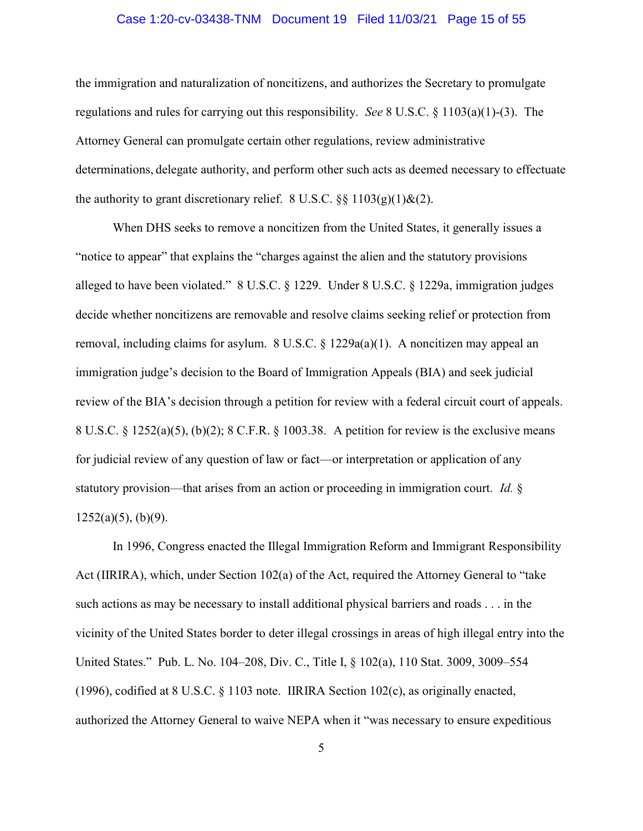#### Case 1:20-cv-03438-TNM Document 19 Filed 11/03/21 Page 15 of 55

the immigration and naturalization of noncitizens, and authorizes the Secretary to promulgate regulations and rules for carrying out this responsibility. See 8 U.S.C. § 1103(a)(1)-(3). The Attorney General can promulgate certain other regulations, review administrative determinations, delegate authority, and perform other such acts as deemed necessary to effectuate the authority to grant discretionary relief.  $8 \text{ U.S.C. }$   $\S§$   $1103(g)(1) \& (2)$ .

When DHS seeks to remove a noncitizen from the United States, it generally issues a "notice to appear" that explains the "charges against the alien and the statutory provisions alleged to have been violated." 8 U.S.C. § 1229. Under 8 U.S.C. § 1229a, immigration judges decide whether noncitizens are removable and resolve claims seeking relief or protection from removal, including claims for asylum. 8 U.S.C.  $\S$  1229a(a)(1). A noncitizen may appeal an immigration judge's decision to the Board of Immigration Appeals (BIA) and seek judicial review of the BIA's decision through a petition for review with a federal circuit court of appeals. 8 U.S.C. § 1252(a)(5), (b)(2); 8 C.F.R. § 1003.38. A petition for review is the exclusive means for judicial review of any question of law or fact—or interpretation or application of any statutory provision—that arises from an action or proceeding in immigration court. Id. §  $1252(a)(5)$ , (b)(9).

In 1996, Congress enacted the Illegal Immigration Reform and Immigrant Responsibility Act (IIRIRA), which, under Section 102(a) of the Act, required the Attorney General to "take such actions as may be necessary to install additional physical barriers and roads . . . in the vicinity of the United States border to deter illegal crossings in areas of high illegal entry into the United States." Pub. L. No. 104–208, Div. C., Title I, § 102(a), 110 Stat. 3009, 3009–554 (1996), codified at 8 U.S.C.  $\S$  1103 note. IIRIRA Section 102(c), as originally enacted, authorized the Attorney General to waive NEPA when it "was necessary to ensure expeditious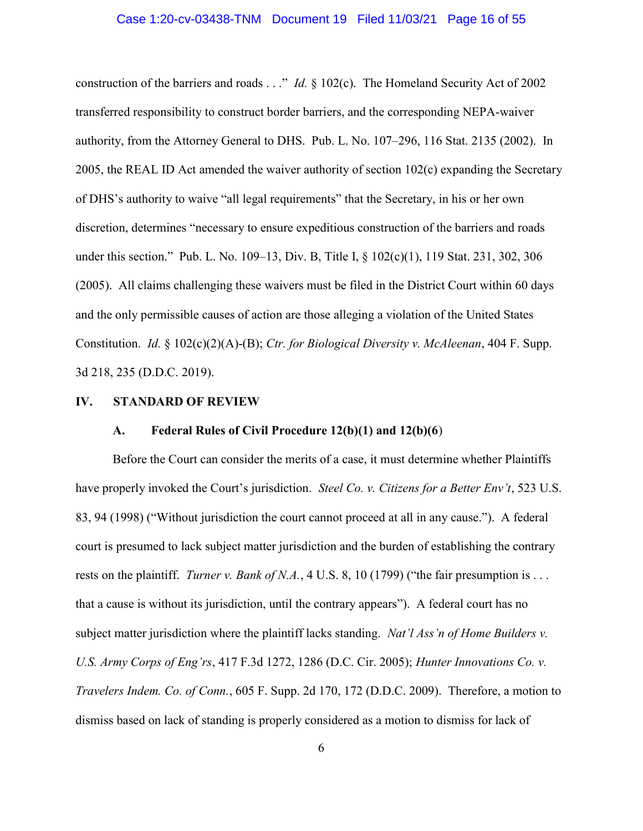construction of the barriers and roads . . ." *Id.* § 102(c). The Homeland Security Act of 2002 transferred responsibility to construct border barriers, and the corresponding NEPA-waiver authority, from the Attorney General to DHS. Pub. L. No. 107–296, 116 Stat. 2135 (2002). In 2005, the REAL ID Act amended the waiver authority of section 102(c) expanding the Secretary of DHS's authority to waive "all legal requirements" that the Secretary, in his or her own discretion, determines "necessary to ensure expeditious construction of the barriers and roads under this section." Pub. L. No. 109–13, Div. B, Title I, § 102(c)(1), 119 Stat. 231, 302, 306 (2005). All claims challenging these waivers must be filed in the District Court within 60 days and the only permissible causes of action are those alleging a violation of the United States Constitution. Id. § 102(c)(2)(A)-(B); Ctr. for Biological Diversity v. McAleenan, 404 F. Supp. 3d 218, 235 (D.D.C. 2019).

#### IV. STANDARD OF REVIEW

#### A. Federal Rules of Civil Procedure 12(b)(1) and 12(b)(6)

Before the Court can consider the merits of a case, it must determine whether Plaintiffs have properly invoked the Court's jurisdiction. Steel Co. v. Citizens for a Better Env't, 523 U.S. 83, 94 (1998) ("Without jurisdiction the court cannot proceed at all in any cause."). A federal court is presumed to lack subject matter jurisdiction and the burden of establishing the contrary rests on the plaintiff. *Turner v. Bank of N.A.*, 4 U.S. 8, 10 (1799) ("the fair presumption is . . . that a cause is without its jurisdiction, until the contrary appears"). A federal court has no subject matter jurisdiction where the plaintiff lacks standing. Nat'l Ass'n of Home Builders v. U.S. Army Corps of Eng'rs, 417 F.3d 1272, 1286 (D.C. Cir. 2005); Hunter Innovations Co. v. Travelers Indem. Co. of Conn., 605 F. Supp. 2d 170, 172 (D.D.C. 2009). Therefore, a motion to dismiss based on lack of standing is properly considered as a motion to dismiss for lack of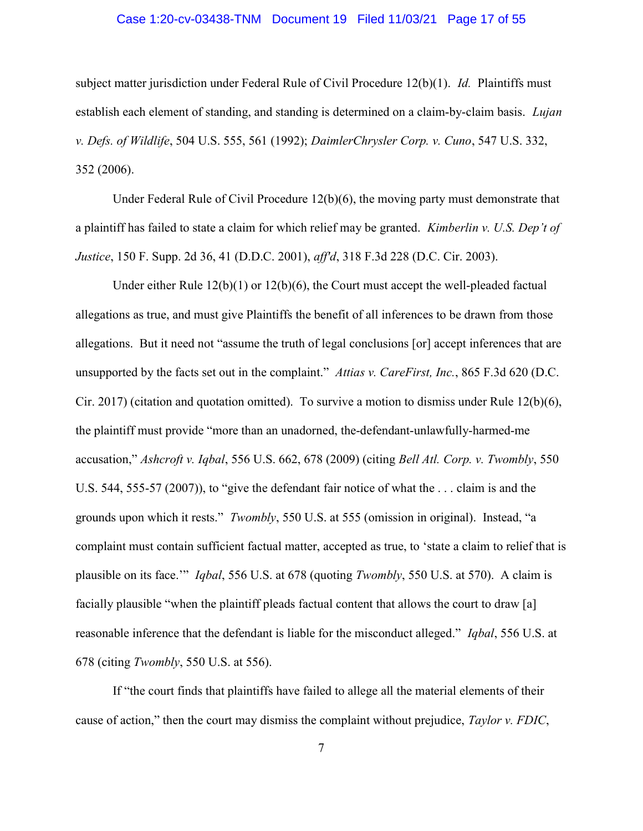#### Case 1:20-cv-03438-TNM Document 19 Filed 11/03/21 Page 17 of 55

subject matter jurisdiction under Federal Rule of Civil Procedure  $12(b)(1)$ . *Id.* Plaintiffs must establish each element of standing, and standing is determined on a claim-by-claim basis. *Lujan* v. Defs. of Wildlife, 504 U.S. 555, 561 (1992); DaimlerChrysler Corp. v. Cuno, 547 U.S. 332, 352 (2006).

Under Federal Rule of Civil Procedure 12(b)(6), the moving party must demonstrate that a plaintiff has failed to state a claim for which relief may be granted. *Kimberlin v. U.S. Dep't of* Justice, 150 F. Supp. 2d 36, 41 (D.D.C. 2001), aff'd, 318 F.3d 228 (D.C. Cir. 2003).

Under either Rule 12(b)(1) or 12(b)(6), the Court must accept the well-pleaded factual allegations as true, and must give Plaintiffs the benefit of all inferences to be drawn from those allegations. But it need not "assume the truth of legal conclusions [or] accept inferences that are unsupported by the facts set out in the complaint." Attias v. CareFirst, Inc., 865 F.3d 620 (D.C. Cir. 2017) (citation and quotation omitted). To survive a motion to dismiss under Rule  $12(b)(6)$ , the plaintiff must provide "more than an unadorned, the-defendant-unlawfully-harmed-me accusation," Ashcroft v. Iqbal, 556 U.S. 662, 678 (2009) (citing Bell Atl. Corp. v. Twombly, 550 U.S. 544, 555-57 (2007)), to "give the defendant fair notice of what the . . . claim is and the grounds upon which it rests." Twombly, 550 U.S. at 555 (omission in original). Instead, "a complaint must contain sufficient factual matter, accepted as true, to 'state a claim to relief that is plausible on its face.'" Iqbal, 556 U.S. at 678 (quoting Twombly, 550 U.S. at 570). A claim is facially plausible "when the plaintiff pleads factual content that allows the court to draw [a] reasonable inference that the defendant is liable for the misconduct alleged." *Igbal*, 556 U.S. at 678 (citing Twombly, 550 U.S. at 556).

If "the court finds that plaintiffs have failed to allege all the material elements of their cause of action," then the court may dismiss the complaint without prejudice, Taylor v. FDIC,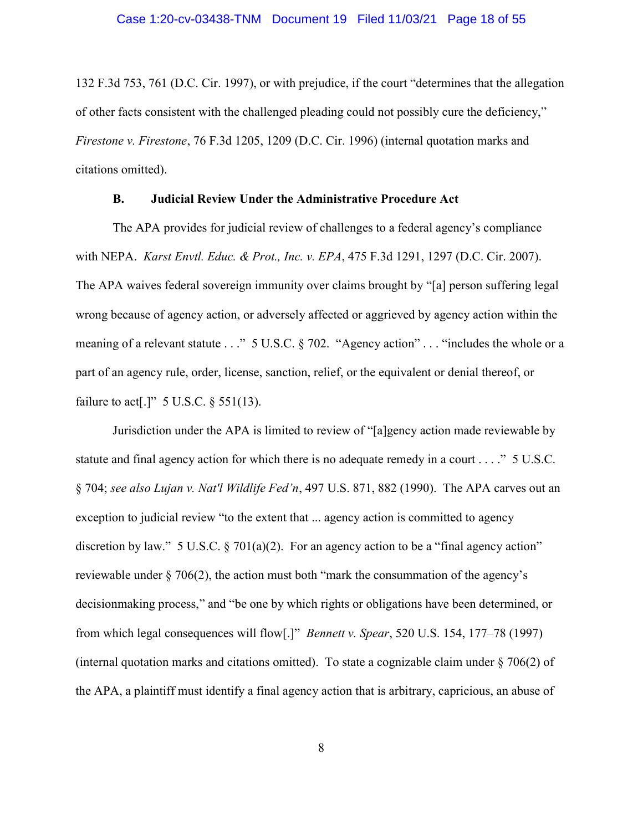132 F.3d 753, 761 (D.C. Cir. 1997), or with prejudice, if the court "determines that the allegation of other facts consistent with the challenged pleading could not possibly cure the deficiency," Firestone v. Firestone, 76 F.3d 1205, 1209 (D.C. Cir. 1996) (internal quotation marks and citations omitted).

## B. Judicial Review Under the Administrative Procedure Act

The APA provides for judicial review of challenges to a federal agency's compliance with NEPA. Karst Envtl. Educ. & Prot., Inc. v. EPA, 475 F.3d 1291, 1297 (D.C. Cir. 2007). The APA waives federal sovereign immunity over claims brought by "[a] person suffering legal wrong because of agency action, or adversely affected or aggrieved by agency action within the meaning of a relevant statute . . ." 5 U.S.C. § 702. "Agency action" . . . "includes the whole or a part of an agency rule, order, license, sanction, relief, or the equivalent or denial thereof, or failure to act<sup>[1]</sup>" 5 U.S.C.  $\S$  551(13).

Jurisdiction under the APA is limited to review of "[a]gency action made reviewable by statute and final agency action for which there is no adequate remedy in a court . . . ." 5 U.S.C. § 704; see also Lujan v. Nat'l Wildlife Fed'n, 497 U.S. 871, 882 (1990). The APA carves out an exception to judicial review "to the extent that ... agency action is committed to agency discretion by law." 5 U.S.C.  $\S 701(a)(2)$ . For an agency action to be a "final agency action" reviewable under § 706(2), the action must both "mark the consummation of the agency's decisionmaking process," and "be one by which rights or obligations have been determined, or from which legal consequences will flow[.]" Bennett v. Spear, 520 U.S. 154, 177–78 (1997) (internal quotation marks and citations omitted). To state a cognizable claim under § 706(2) of the APA, a plaintiff must identify a final agency action that is arbitrary, capricious, an abuse of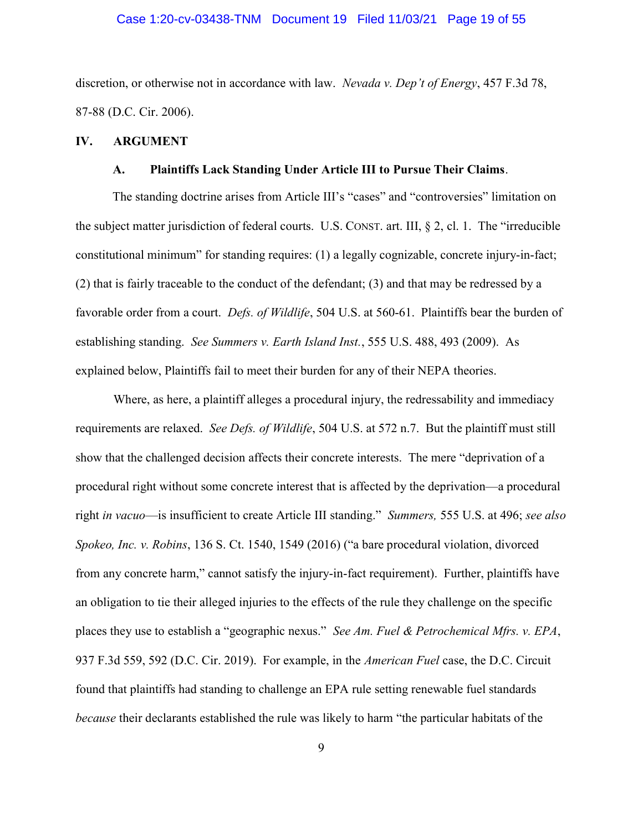#### Case 1:20-cv-03438-TNM Document 19 Filed 11/03/21 Page 19 of 55

discretion, or otherwise not in accordance with law. Nevada v. Dep't of Energy, 457 F.3d 78, 87-88 (D.C. Cir. 2006).

### IV. ARGUMENT

#### A. Plaintiffs Lack Standing Under Article III to Pursue Their Claims.

The standing doctrine arises from Article III's "cases" and "controversies" limitation on the subject matter jurisdiction of federal courts. U.S. CONST. art. III, § 2, cl. 1. The "irreducible constitutional minimum" for standing requires: (1) a legally cognizable, concrete injury-in-fact; (2) that is fairly traceable to the conduct of the defendant; (3) and that may be redressed by a favorable order from a court. *Defs. of Wildlife*, 504 U.S. at 560-61. Plaintiffs bear the burden of establishing standing. See Summers v. Earth Island Inst., 555 U.S. 488, 493 (2009). As explained below, Plaintiffs fail to meet their burden for any of their NEPA theories.

Where, as here, a plaintiff alleges a procedural injury, the redressability and immediacy requirements are relaxed. See Defs. of Wildlife, 504 U.S. at 572 n.7. But the plaintiff must still show that the challenged decision affects their concrete interests. The mere "deprivation of a procedural right without some concrete interest that is affected by the deprivation—a procedural right in vacuo—is insufficient to create Article III standing." Summers, 555 U.S. at 496; see also Spokeo, Inc. v. Robins, 136 S. Ct. 1540, 1549 (2016) ("a bare procedural violation, divorced from any concrete harm," cannot satisfy the injury-in-fact requirement). Further, plaintiffs have an obligation to tie their alleged injuries to the effects of the rule they challenge on the specific places they use to establish a "geographic nexus." See Am. Fuel & Petrochemical Mfrs. v. EPA, 937 F.3d 559, 592 (D.C. Cir. 2019). For example, in the *American Fuel* case, the D.C. Circuit found that plaintiffs had standing to challenge an EPA rule setting renewable fuel standards because their declarants established the rule was likely to harm "the particular habitats of the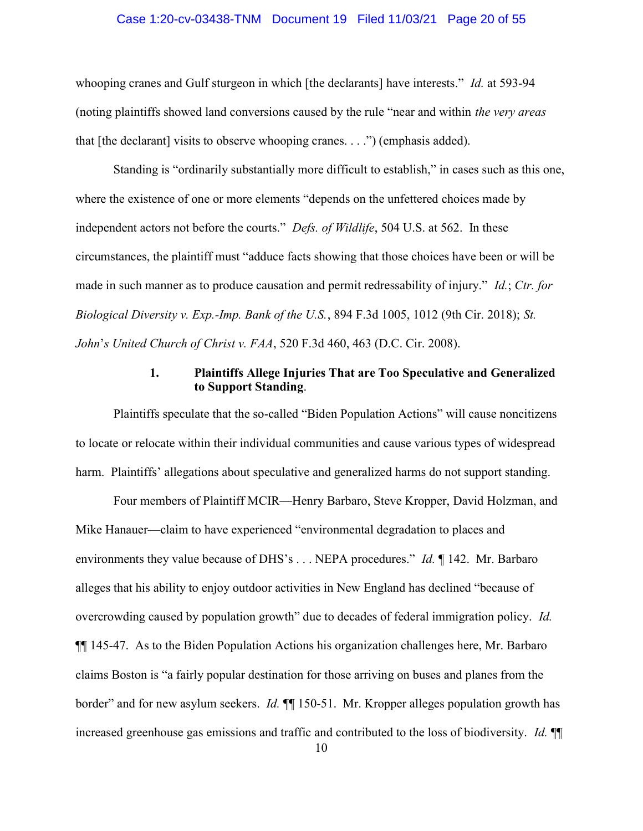#### Case 1:20-cv-03438-TNM Document 19 Filed 11/03/21 Page 20 of 55

whooping cranes and Gulf sturgeon in which [the declarants] have interests." *Id.* at 593-94 (noting plaintiffs showed land conversions caused by the rule "near and within the very areas that [the declarant] visits to observe whooping cranes. . . .") (emphasis added).

Standing is "ordinarily substantially more difficult to establish," in cases such as this one, where the existence of one or more elements "depends on the unfettered choices made by independent actors not before the courts." Defs. of Wildlife, 504 U.S. at 562. In these circumstances, the plaintiff must "adduce facts showing that those choices have been or will be made in such manner as to produce causation and permit redressability of injury." *Id.*; Ctr. for Biological Diversity v. Exp.-Imp. Bank of the U.S., 894 F.3d 1005, 1012 (9th Cir. 2018); St. John's United Church of Christ v. FAA, 520 F.3d 460, 463 (D.C. Cir. 2008).

### 1. Plaintiffs Allege Injuries That are Too Speculative and Generalized to Support Standing.

Plaintiffs speculate that the so-called "Biden Population Actions" will cause noncitizens to locate or relocate within their individual communities and cause various types of widespread harm. Plaintiffs' allegations about speculative and generalized harms do not support standing.

Four members of Plaintiff MCIR—Henry Barbaro, Steve Kropper, David Holzman, and Mike Hanauer—claim to have experienced "environmental degradation to places and environments they value because of DHS's . . . NEPA procedures." *Id.* 142. Mr. Barbaro alleges that his ability to enjoy outdoor activities in New England has declined "because of overcrowding caused by population growth" due to decades of federal immigration policy. Id. ¶¶ 145-47. As to the Biden Population Actions his organization challenges here, Mr. Barbaro claims Boston is "a fairly popular destination for those arriving on buses and planes from the border" and for new asylum seekers. *Id.*  $\P$  150-51. Mr. Kropper alleges population growth has increased greenhouse gas emissions and traffic and contributed to the loss of biodiversity. Id. ¶¶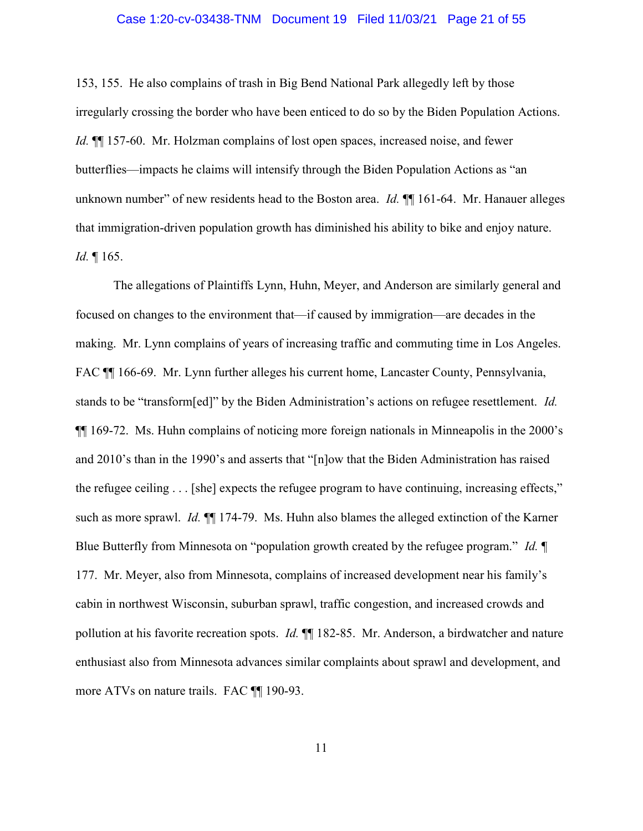#### Case 1:20-cv-03438-TNM Document 19 Filed 11/03/21 Page 21 of 55

153, 155. He also complains of trash in Big Bend National Park allegedly left by those irregularly crossing the border who have been enticed to do so by the Biden Population Actions. Id.  $\P$  157-60. Mr. Holzman complains of lost open spaces, increased noise, and fewer butterflies—impacts he claims will intensify through the Biden Population Actions as "an unknown number" of new residents head to the Boston area. *Id.*  $\P$  161-64. Mr. Hanauer alleges that immigration-driven population growth has diminished his ability to bike and enjoy nature. Id. ¶ 165.

The allegations of Plaintiffs Lynn, Huhn, Meyer, and Anderson are similarly general and focused on changes to the environment that—if caused by immigration—are decades in the making. Mr. Lynn complains of years of increasing traffic and commuting time in Los Angeles. FAC ¶¶ 166-69. Mr. Lynn further alleges his current home, Lancaster County, Pennsylvania, stands to be "transform[ed]" by the Biden Administration's actions on refugee resettlement. Id. ¶¶ 169-72. Ms. Huhn complains of noticing more foreign nationals in Minneapolis in the 2000's and 2010's than in the 1990's and asserts that "[n]ow that the Biden Administration has raised the refugee ceiling . . . [she] expects the refugee program to have continuing, increasing effects," such as more sprawl. *Id.*  $\P$  174-79. Ms. Huhn also blames the alleged extinction of the Karner Blue Butterfly from Minnesota on "population growth created by the refugee program." Id.  $\P$ 177. Mr. Meyer, also from Minnesota, complains of increased development near his family's cabin in northwest Wisconsin, suburban sprawl, traffic congestion, and increased crowds and pollution at his favorite recreation spots. *Id.*  $\P$  182-85. Mr. Anderson, a birdwatcher and nature enthusiast also from Minnesota advances similar complaints about sprawl and development, and more ATVs on nature trails. FAC ¶¶ 190-93.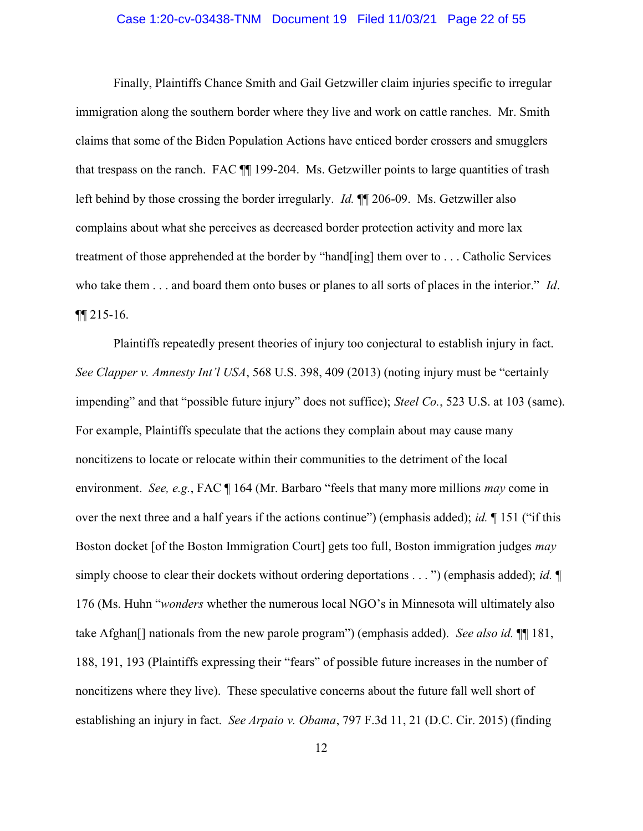#### Case 1:20-cv-03438-TNM Document 19 Filed 11/03/21 Page 22 of 55

Finally, Plaintiffs Chance Smith and Gail Getzwiller claim injuries specific to irregular immigration along the southern border where they live and work on cattle ranches. Mr. Smith claims that some of the Biden Population Actions have enticed border crossers and smugglers that trespass on the ranch. FAC ¶¶ 199-204. Ms. Getzwiller points to large quantities of trash left behind by those crossing the border irregularly. Id. ¶¶ 206-09. Ms. Getzwiller also complains about what she perceives as decreased border protection activity and more lax treatment of those apprehended at the border by "hand[ing] them over to . . . Catholic Services who take them . . . and board them onto buses or planes to all sorts of places in the interior." *Id.* ¶¶ 215-16.

Plaintiffs repeatedly present theories of injury too conjectural to establish injury in fact. See Clapper v. Amnesty Int'l USA, 568 U.S. 398, 409 (2013) (noting injury must be "certainly impending" and that "possible future injury" does not suffice); Steel Co., 523 U.S. at 103 (same). For example, Plaintiffs speculate that the actions they complain about may cause many noncitizens to locate or relocate within their communities to the detriment of the local environment. See, e.g., FAC ¶ 164 (Mr. Barbaro "feels that many more millions *may* come in over the next three and a half years if the actions continue") (emphasis added); *id.*  $\P$  151 ("if this Boston docket [of the Boston Immigration Court] gets too full, Boston immigration judges *may* simply choose to clear their dockets without ordering deportations  $\dots$ ") (emphasis added); *id*. 176 (Ms. Huhn "wonders whether the numerous local NGO's in Minnesota will ultimately also take Afghan<sup>[]</sup> nationals from the new parole program") (emphasis added). *See also id.*  $\P$  181, 188, 191, 193 (Plaintiffs expressing their "fears" of possible future increases in the number of noncitizens where they live). These speculative concerns about the future fall well short of establishing an injury in fact. See Arpaio v. Obama, 797 F.3d 11, 21 (D.C. Cir. 2015) (finding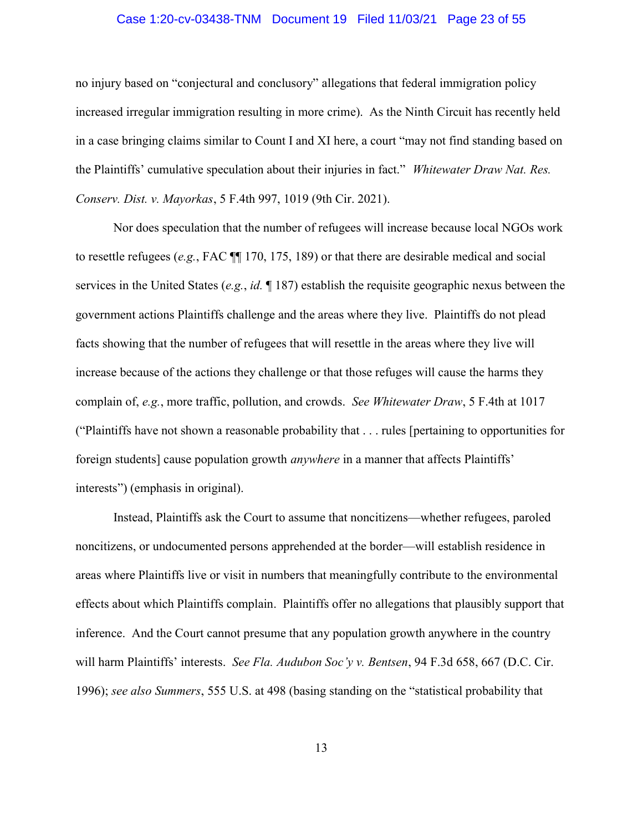#### Case 1:20-cv-03438-TNM Document 19 Filed 11/03/21 Page 23 of 55

no injury based on "conjectural and conclusory" allegations that federal immigration policy increased irregular immigration resulting in more crime). As the Ninth Circuit has recently held in a case bringing claims similar to Count I and XI here, a court "may not find standing based on the Plaintiffs' cumulative speculation about their injuries in fact." Whitewater Draw Nat. Res. Conserv. Dist. v. Mayorkas, 5 F.4th 997, 1019 (9th Cir. 2021).

Nor does speculation that the number of refugees will increase because local NGOs work to resettle refugees (e.g., FAC ¶¶ 170, 175, 189) or that there are desirable medical and social services in the United States (e.g., id.  $\parallel$  187) establish the requisite geographic nexus between the government actions Plaintiffs challenge and the areas where they live. Plaintiffs do not plead facts showing that the number of refugees that will resettle in the areas where they live will increase because of the actions they challenge or that those refuges will cause the harms they complain of, e.g., more traffic, pollution, and crowds. See Whitewater Draw, 5 F.4th at 1017 ("Plaintiffs have not shown a reasonable probability that . . . rules [pertaining to opportunities for foreign students] cause population growth *anywhere* in a manner that affects Plaintiffs' interests") (emphasis in original).

Instead, Plaintiffs ask the Court to assume that noncitizens—whether refugees, paroled noncitizens, or undocumented persons apprehended at the border—will establish residence in areas where Plaintiffs live or visit in numbers that meaningfully contribute to the environmental effects about which Plaintiffs complain. Plaintiffs offer no allegations that plausibly support that inference. And the Court cannot presume that any population growth anywhere in the country will harm Plaintiffs' interests. See Fla. Audubon Soc'y v. Bentsen, 94 F.3d 658, 667 (D.C. Cir. 1996); see also Summers, 555 U.S. at 498 (basing standing on the "statistical probability that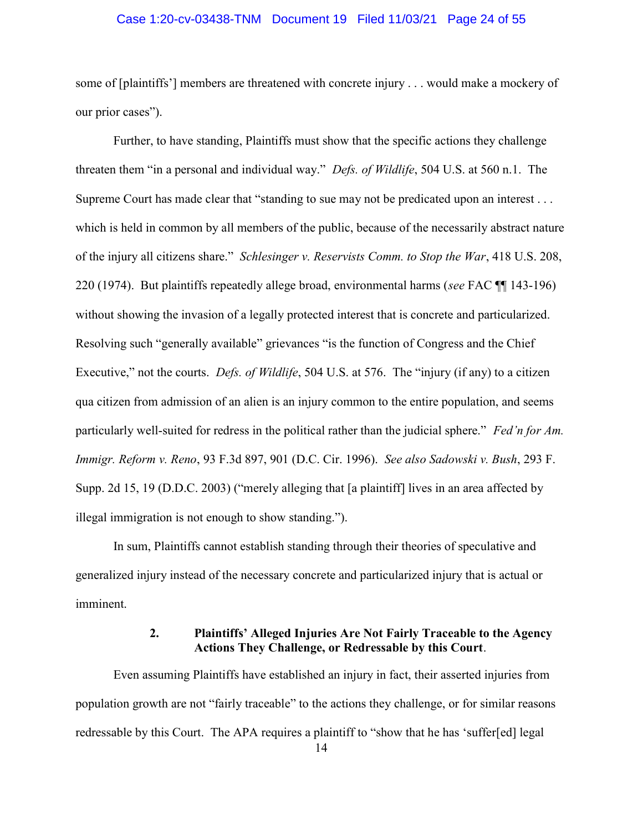#### Case 1:20-cv-03438-TNM Document 19 Filed 11/03/21 Page 24 of 55

some of [plaintiffs'] members are threatened with concrete injury . . . would make a mockery of our prior cases").

Further, to have standing, Plaintiffs must show that the specific actions they challenge threaten them "in a personal and individual way." *Defs. of Wildlife*, 504 U.S. at 560 n.1. The Supreme Court has made clear that "standing to sue may not be predicated upon an interest . . . which is held in common by all members of the public, because of the necessarily abstract nature of the injury all citizens share." Schlesinger v. Reservists Comm. to Stop the War, 418 U.S. 208, 220 (1974). But plaintiffs repeatedly allege broad, environmental harms (see FAC ¶¶ 143-196) without showing the invasion of a legally protected interest that is concrete and particularized. Resolving such "generally available" grievances "is the function of Congress and the Chief Executive," not the courts. *Defs. of Wildlife*, 504 U.S. at 576. The "injury (if any) to a citizen qua citizen from admission of an alien is an injury common to the entire population, and seems particularly well-suited for redress in the political rather than the judicial sphere." Fed'n for Am. Immigr. Reform v. Reno, 93 F.3d 897, 901 (D.C. Cir. 1996). See also Sadowski v. Bush, 293 F. Supp. 2d 15, 19 (D.D.C. 2003) ("merely alleging that [a plaintiff] lives in an area affected by illegal immigration is not enough to show standing.").

In sum, Plaintiffs cannot establish standing through their theories of speculative and generalized injury instead of the necessary concrete and particularized injury that is actual or imminent.

## 2. Plaintiffs' Alleged Injuries Are Not Fairly Traceable to the Agency Actions They Challenge, or Redressable by this Court.

Even assuming Plaintiffs have established an injury in fact, their asserted injuries from population growth are not "fairly traceable" to the actions they challenge, or for similar reasons redressable by this Court. The APA requires a plaintiff to "show that he has 'suffer[ed] legal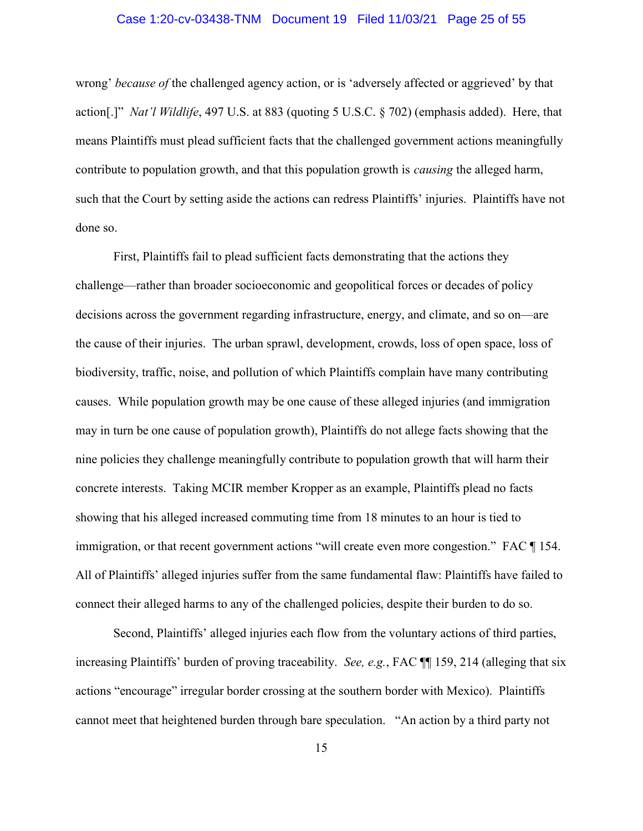#### Case 1:20-cv-03438-TNM Document 19 Filed 11/03/21 Page 25 of 55

wrong' *because of* the challenged agency action, or is 'adversely affected or aggrieved' by that action[.]" Nat'l Wildlife, 497 U.S. at 883 (quoting 5 U.S.C. § 702) (emphasis added). Here, that means Plaintiffs must plead sufficient facts that the challenged government actions meaningfully contribute to population growth, and that this population growth is *causing* the alleged harm, such that the Court by setting aside the actions can redress Plaintiffs' injuries. Plaintiffs have not done so.

First, Plaintiffs fail to plead sufficient facts demonstrating that the actions they challenge—rather than broader socioeconomic and geopolitical forces or decades of policy decisions across the government regarding infrastructure, energy, and climate, and so on—are the cause of their injuries. The urban sprawl, development, crowds, loss of open space, loss of biodiversity, traffic, noise, and pollution of which Plaintiffs complain have many contributing causes. While population growth may be one cause of these alleged injuries (and immigration may in turn be one cause of population growth), Plaintiffs do not allege facts showing that the nine policies they challenge meaningfully contribute to population growth that will harm their concrete interests. Taking MCIR member Kropper as an example, Plaintiffs plead no facts showing that his alleged increased commuting time from 18 minutes to an hour is tied to immigration, or that recent government actions "will create even more congestion." FAC ¶ 154. All of Plaintiffs' alleged injuries suffer from the same fundamental flaw: Plaintiffs have failed to connect their alleged harms to any of the challenged policies, despite their burden to do so.

Second, Plaintiffs' alleged injuries each flow from the voluntary actions of third parties, increasing Plaintiffs' burden of proving traceability. See, e.g., FAC  $\P$  159, 214 (alleging that six actions "encourage" irregular border crossing at the southern border with Mexico). Plaintiffs cannot meet that heightened burden through bare speculation. "An action by a third party not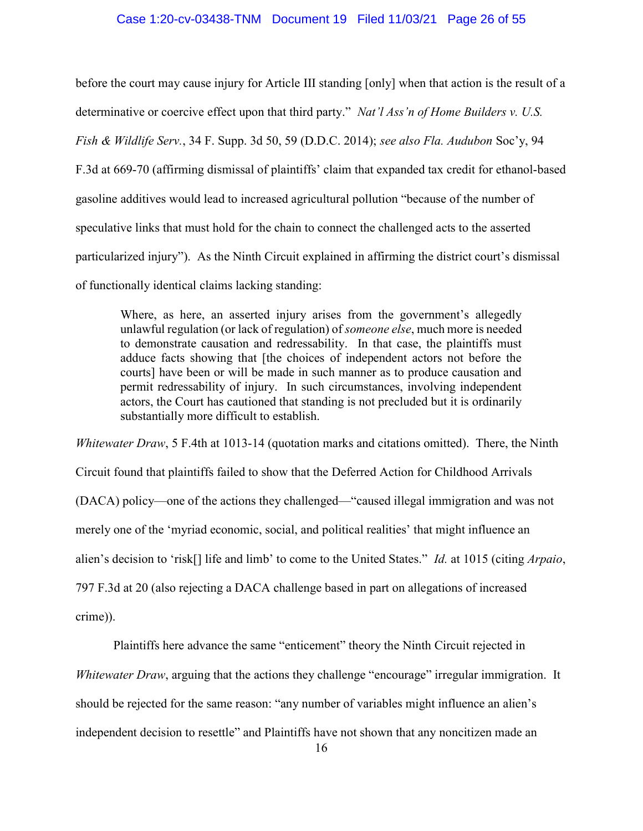#### Case 1:20-cv-03438-TNM Document 19 Filed 11/03/21 Page 26 of 55

before the court may cause injury for Article III standing [only] when that action is the result of a determinative or coercive effect upon that third party." Nat'l Ass'n of Home Builders v. U.S. Fish & Wildlife Serv., 34 F. Supp. 3d 50, 59 (D.D.C. 2014); see also Fla. Audubon Soc'y, 94 F.3d at 669-70 (affirming dismissal of plaintiffs' claim that expanded tax credit for ethanol-based gasoline additives would lead to increased agricultural pollution "because of the number of speculative links that must hold for the chain to connect the challenged acts to the asserted particularized injury"). As the Ninth Circuit explained in affirming the district court's dismissal of functionally identical claims lacking standing:

Where, as here, an asserted injury arises from the government's allegedly unlawful regulation (or lack of regulation) of someone else, much more is needed to demonstrate causation and redressability. In that case, the plaintiffs must adduce facts showing that [the choices of independent actors not before the courts] have been or will be made in such manner as to produce causation and permit redressability of injury. In such circumstances, involving independent actors, the Court has cautioned that standing is not precluded but it is ordinarily substantially more difficult to establish.

Whitewater Draw, 5 F.4th at 1013-14 (quotation marks and citations omitted). There, the Ninth Circuit found that plaintiffs failed to show that the Deferred Action for Childhood Arrivals (DACA) policy—one of the actions they challenged—"caused illegal immigration and was not merely one of the 'myriad economic, social, and political realities' that might influence an alien's decision to 'risk<sup>[]</sup> life and limb' to come to the United States." *Id.* at 1015 (citing *Arpaio*, 797 F.3d at 20 (also rejecting a DACA challenge based in part on allegations of increased crime)).

Plaintiffs here advance the same "enticement" theory the Ninth Circuit rejected in Whitewater Draw, arguing that the actions they challenge "encourage" irregular immigration. It should be rejected for the same reason: "any number of variables might influence an alien's independent decision to resettle" and Plaintiffs have not shown that any noncitizen made an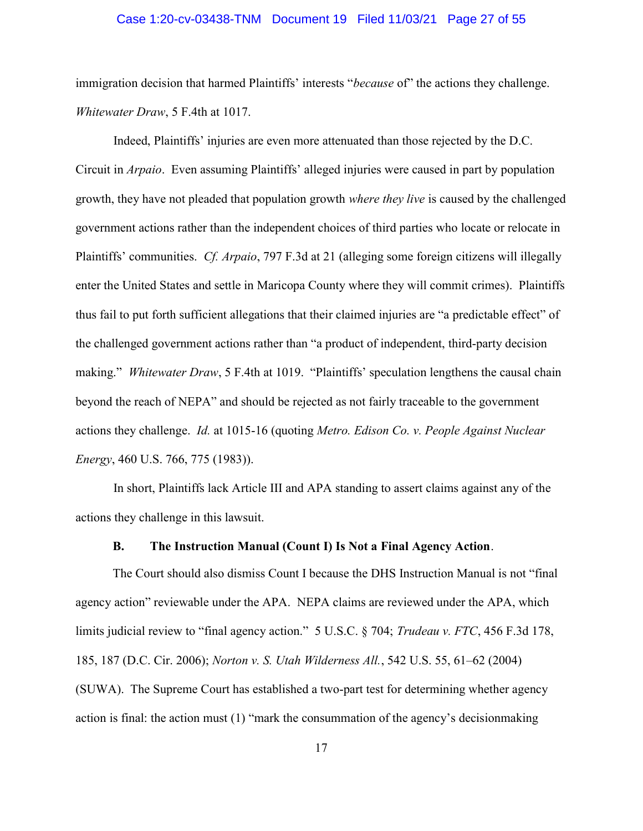#### Case 1:20-cv-03438-TNM Document 19 Filed 11/03/21 Page 27 of 55

immigration decision that harmed Plaintiffs' interests "because of" the actions they challenge. Whitewater Draw, 5 F.4th at 1017.

Indeed, Plaintiffs' injuries are even more attenuated than those rejected by the D.C. Circuit in Arpaio. Even assuming Plaintiffs' alleged injuries were caused in part by population growth, they have not pleaded that population growth where they live is caused by the challenged government actions rather than the independent choices of third parties who locate or relocate in Plaintiffs' communities. Cf. Arpaio, 797 F.3d at 21 (alleging some foreign citizens will illegally enter the United States and settle in Maricopa County where they will commit crimes). Plaintiffs thus fail to put forth sufficient allegations that their claimed injuries are "a predictable effect" of the challenged government actions rather than "a product of independent, third-party decision making." Whitewater Draw, 5 F.4th at 1019. "Plaintiffs' speculation lengthens the causal chain beyond the reach of NEPA" and should be rejected as not fairly traceable to the government actions they challenge. Id. at 1015-16 (quoting Metro. Edison Co. v. People Against Nuclear Energy, 460 U.S. 766, 775 (1983)).

In short, Plaintiffs lack Article III and APA standing to assert claims against any of the actions they challenge in this lawsuit.

#### B. The Instruction Manual (Count I) Is Not a Final Agency Action.

The Court should also dismiss Count I because the DHS Instruction Manual is not "final agency action" reviewable under the APA. NEPA claims are reviewed under the APA, which limits judicial review to "final agency action." 5 U.S.C. § 704; *Trudeau v. FTC*, 456 F.3d 178, 185, 187 (D.C. Cir. 2006); Norton v. S. Utah Wilderness All., 542 U.S. 55, 61–62 (2004) (SUWA). The Supreme Court has established a two-part test for determining whether agency action is final: the action must (1) "mark the consummation of the agency's decisionmaking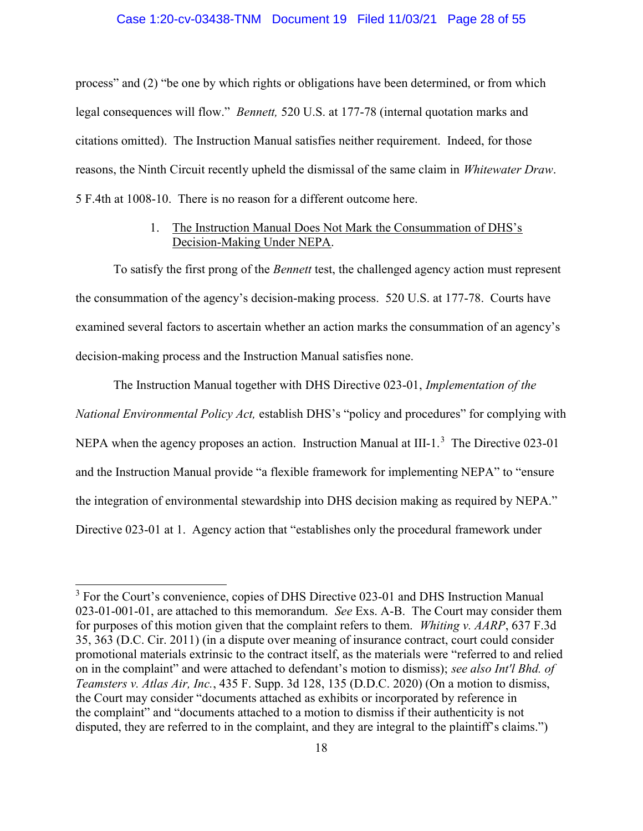#### Case 1:20-cv-03438-TNM Document 19 Filed 11/03/21 Page 28 of 55

process" and (2) "be one by which rights or obligations have been determined, or from which legal consequences will flow." Bennett, 520 U.S. at 177-78 (internal quotation marks and citations omitted). The Instruction Manual satisfies neither requirement. Indeed, for those reasons, the Ninth Circuit recently upheld the dismissal of the same claim in Whitewater Draw. 5 F.4th at 1008-10. There is no reason for a different outcome here.

### 1. The Instruction Manual Does Not Mark the Consummation of DHS's Decision-Making Under NEPA.

To satisfy the first prong of the *Bennett* test, the challenged agency action must represent the consummation of the agency's decision-making process. 520 U.S. at 177-78. Courts have examined several factors to ascertain whether an action marks the consummation of an agency's decision-making process and the Instruction Manual satisfies none.

The Instruction Manual together with DHS Directive 023-01, Implementation of the National Environmental Policy Act, establish DHS's "policy and procedures" for complying with NEPA when the agency proposes an action. Instruction Manual at III-1.<sup>3</sup> The Directive 023-01 and the Instruction Manual provide "a flexible framework for implementing NEPA" to "ensure the integration of environmental stewardship into DHS decision making as required by NEPA." Directive 023-01 at 1. Agency action that "establishes only the procedural framework under

e<br>L

<sup>&</sup>lt;sup>3</sup> For the Court's convenience, copies of DHS Directive 023-01 and DHS Instruction Manual 023-01-001-01, are attached to this memorandum. See Exs. A-B. The Court may consider them for purposes of this motion given that the complaint refers to them. Whiting v. AARP, 637 F.3d 35, 363 (D.C. Cir. 2011) (in a dispute over meaning of insurance contract, court could consider promotional materials extrinsic to the contract itself, as the materials were "referred to and relied on in the complaint" and were attached to defendant's motion to dismiss); see also Int'l Bhd. of Teamsters v. Atlas Air, Inc., 435 F. Supp. 3d 128, 135 (D.D.C. 2020) (On a motion to dismiss, the Court may consider "documents attached as exhibits or incorporated by reference in the complaint" and "documents attached to a motion to dismiss if their authenticity is not disputed, they are referred to in the complaint, and they are integral to the plaintiff's claims.")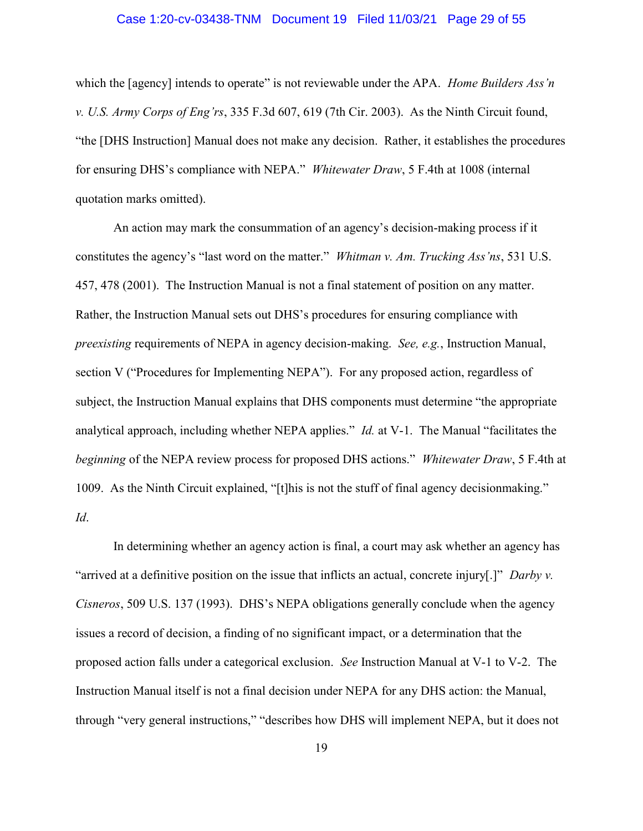#### Case 1:20-cv-03438-TNM Document 19 Filed 11/03/21 Page 29 of 55

which the [agency] intends to operate" is not reviewable under the APA. Home Builders Ass'n v. U.S. Army Corps of Eng'rs, 335 F.3d 607, 619 (7th Cir. 2003). As the Ninth Circuit found, "the [DHS Instruction] Manual does not make any decision. Rather, it establishes the procedures for ensuring DHS's compliance with NEPA." Whitewater Draw, 5 F.4th at 1008 (internal quotation marks omitted).

An action may mark the consummation of an agency's decision-making process if it constitutes the agency's "last word on the matter." Whitman v. Am. Trucking Ass'ns, 531 U.S. 457, 478 (2001). The Instruction Manual is not a final statement of position on any matter. Rather, the Instruction Manual sets out DHS's procedures for ensuring compliance with preexisting requirements of NEPA in agency decision-making. See, e.g., Instruction Manual, section V ("Procedures for Implementing NEPA"). For any proposed action, regardless of subject, the Instruction Manual explains that DHS components must determine "the appropriate analytical approach, including whether NEPA applies." *Id.* at V-1. The Manual "facilitates the beginning of the NEPA review process for proposed DHS actions." Whitewater Draw, 5 F.4th at 1009. As the Ninth Circuit explained, "[t]his is not the stuff of final agency decisionmaking." Id.

In determining whether an agency action is final, a court may ask whether an agency has "arrived at a definitive position on the issue that inflicts an actual, concrete injury[.]" Darby v. Cisneros, 509 U.S. 137 (1993). DHS's NEPA obligations generally conclude when the agency issues a record of decision, a finding of no significant impact, or a determination that the proposed action falls under a categorical exclusion. See Instruction Manual at V-1 to V-2. The Instruction Manual itself is not a final decision under NEPA for any DHS action: the Manual, through "very general instructions," "describes how DHS will implement NEPA, but it does not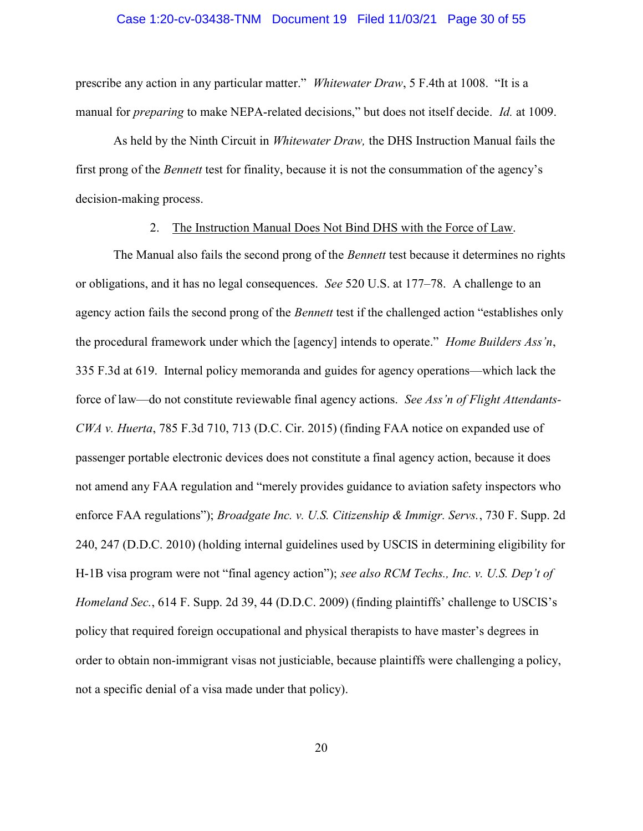#### Case 1:20-cv-03438-TNM Document 19 Filed 11/03/21 Page 30 of 55

prescribe any action in any particular matter." Whitewater Draw, 5 F.4th at 1008. "It is a manual for *preparing* to make NEPA-related decisions," but does not itself decide. *Id.* at 1009.

As held by the Ninth Circuit in Whitewater Draw, the DHS Instruction Manual fails the first prong of the Bennett test for finality, because it is not the consummation of the agency's decision-making process.

## 2. The Instruction Manual Does Not Bind DHS with the Force of Law.

The Manual also fails the second prong of the *Bennett* test because it determines no rights or obligations, and it has no legal consequences. See 520 U.S. at 177–78. A challenge to an agency action fails the second prong of the *Bennett* test if the challenged action "establishes only the procedural framework under which the [agency] intends to operate." *Home Builders Ass'n*, 335 F.3d at 619. Internal policy memoranda and guides for agency operations—which lack the force of law—do not constitute reviewable final agency actions. See Ass'n of Flight Attendants-CWA v. Huerta, 785 F.3d 710, 713 (D.C. Cir. 2015) (finding FAA notice on expanded use of passenger portable electronic devices does not constitute a final agency action, because it does not amend any FAA regulation and "merely provides guidance to aviation safety inspectors who enforce FAA regulations"); *Broadgate Inc. v. U.S. Citizenship & Immigr. Servs.*, 730 F. Supp. 2d 240, 247 (D.D.C. 2010) (holding internal guidelines used by USCIS in determining eligibility for H-1B visa program were not "final agency action"); see also RCM Techs., Inc. v. U.S. Dep't of Homeland Sec., 614 F. Supp. 2d 39, 44 (D.D.C. 2009) (finding plaintiffs' challenge to USCIS's policy that required foreign occupational and physical therapists to have master's degrees in order to obtain non-immigrant visas not justiciable, because plaintiffs were challenging a policy, not a specific denial of a visa made under that policy).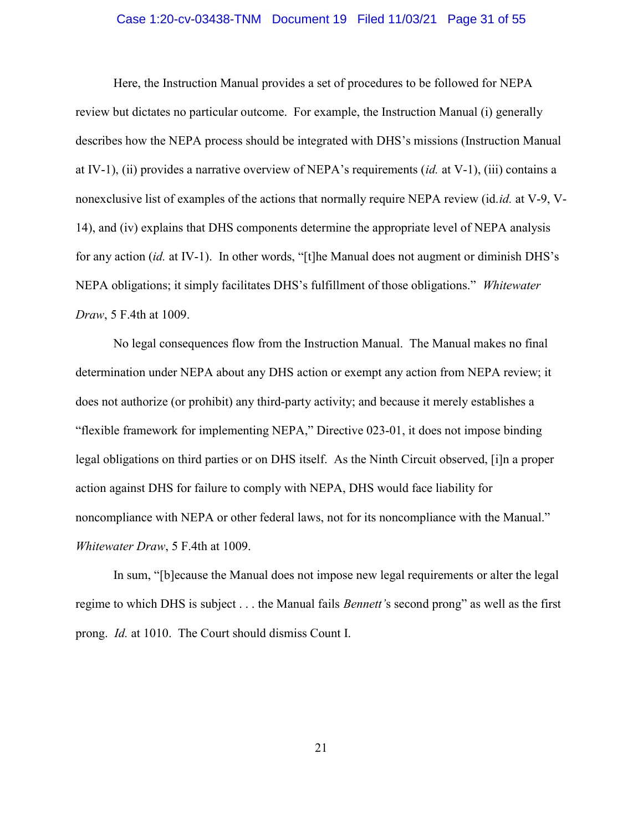#### Case 1:20-cv-03438-TNM Document 19 Filed 11/03/21 Page 31 of 55

Here, the Instruction Manual provides a set of procedures to be followed for NEPA review but dictates no particular outcome. For example, the Instruction Manual (i) generally describes how the NEPA process should be integrated with DHS's missions (Instruction Manual at IV-1), (ii) provides a narrative overview of NEPA's requirements (id. at V-1), (iii) contains a nonexclusive list of examples of the actions that normally require NEPA review (id.id. at V-9, V-14), and (iv) explains that DHS components determine the appropriate level of NEPA analysis for any action (id. at IV-1). In other words, "[t]he Manual does not augment or diminish DHS's NEPA obligations; it simply facilitates DHS's fulfillment of those obligations." Whitewater Draw, 5 F.4th at 1009.

No legal consequences flow from the Instruction Manual. The Manual makes no final determination under NEPA about any DHS action or exempt any action from NEPA review; it does not authorize (or prohibit) any third-party activity; and because it merely establishes a "flexible framework for implementing NEPA," Directive 023-01, it does not impose binding legal obligations on third parties or on DHS itself. As the Ninth Circuit observed, [i]n a proper action against DHS for failure to comply with NEPA, DHS would face liability for noncompliance with NEPA or other federal laws, not for its noncompliance with the Manual." Whitewater Draw, 5 F.4th at 1009.

In sum, "[b]ecause the Manual does not impose new legal requirements or alter the legal regime to which DHS is subject . . . the Manual fails *Bennett'*s second prong" as well as the first prong. Id. at 1010. The Court should dismiss Count I.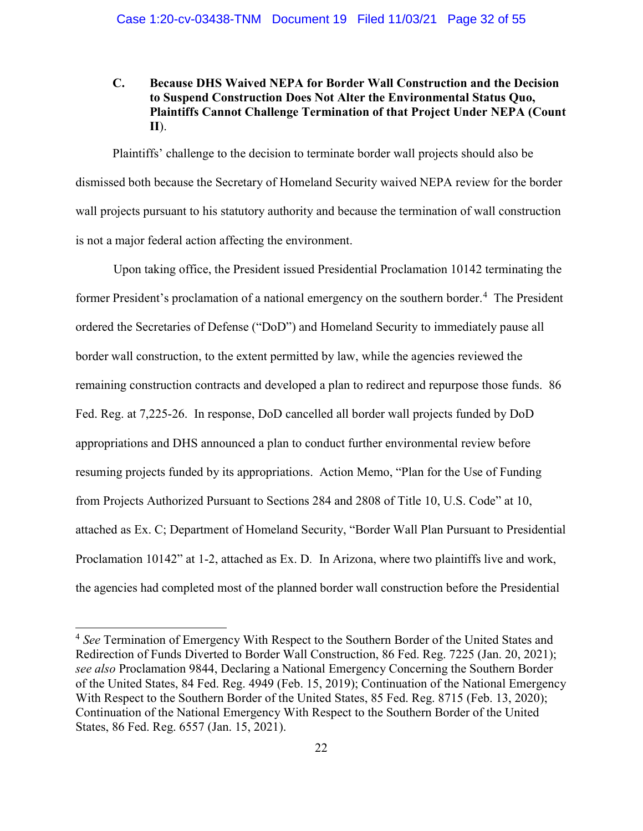## C. Because DHS Waived NEPA for Border Wall Construction and the Decision to Suspend Construction Does Not Alter the Environmental Status Quo, Plaintiffs Cannot Challenge Termination of that Project Under NEPA (Count II).

Plaintiffs' challenge to the decision to terminate border wall projects should also be dismissed both because the Secretary of Homeland Security waived NEPA review for the border wall projects pursuant to his statutory authority and because the termination of wall construction is not a major federal action affecting the environment.

Upon taking office, the President issued Presidential Proclamation 10142 terminating the former President's proclamation of a national emergency on the southern border.<sup>4</sup> The President ordered the Secretaries of Defense ("DoD") and Homeland Security to immediately pause all border wall construction, to the extent permitted by law, while the agencies reviewed the remaining construction contracts and developed a plan to redirect and repurpose those funds. 86 Fed. Reg. at 7,225-26. In response, DoD cancelled all border wall projects funded by DoD appropriations and DHS announced a plan to conduct further environmental review before resuming projects funded by its appropriations. Action Memo, "Plan for the Use of Funding from Projects Authorized Pursuant to Sections 284 and 2808 of Title 10, U.S. Code" at 10, attached as Ex. C; Department of Homeland Security, "Border Wall Plan Pursuant to Presidential Proclamation 10142" at 1-2, attached as Ex. D. In Arizona, where two plaintiffs live and work, the agencies had completed most of the planned border wall construction before the Presidential

÷

<sup>&</sup>lt;sup>4</sup> See Termination of Emergency With Respect to the Southern Border of the United States and Redirection of Funds Diverted to Border Wall Construction, 86 Fed. Reg. 7225 (Jan. 20, 2021); see also Proclamation 9844, Declaring a National Emergency Concerning the Southern Border of the United States, 84 Fed. Reg. 4949 (Feb. 15, 2019); Continuation of the National Emergency With Respect to the Southern Border of the United States, 85 Fed. Reg. 8715 (Feb. 13, 2020); Continuation of the National Emergency With Respect to the Southern Border of the United States, 86 Fed. Reg. 6557 (Jan. 15, 2021).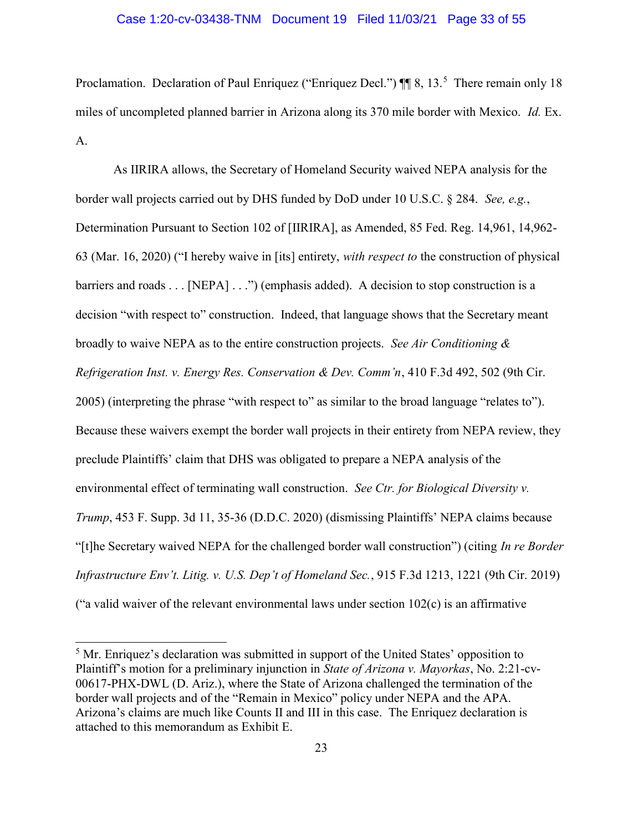#### Case 1:20-cv-03438-TNM Document 19 Filed 11/03/21 Page 33 of 55

Proclamation. Declaration of Paul Enriquez ("Enriquez Decl.")  $\P$  8, 13.<sup>5</sup> There remain only 18 miles of uncompleted planned barrier in Arizona along its 370 mile border with Mexico. Id. Ex. A.

As IIRIRA allows, the Secretary of Homeland Security waived NEPA analysis for the border wall projects carried out by DHS funded by DoD under 10 U.S.C. § 284. See, e.g., Determination Pursuant to Section 102 of [IIRIRA], as Amended, 85 Fed. Reg. 14,961, 14,962- 63 (Mar. 16, 2020) ("I hereby waive in [its] entirety, with respect to the construction of physical barriers and roads . . . [NEPA] . . .") (emphasis added). A decision to stop construction is a decision "with respect to" construction. Indeed, that language shows that the Secretary meant broadly to waive NEPA as to the entire construction projects. See Air Conditioning  $\&$ Refrigeration Inst. v. Energy Res. Conservation & Dev. Comm'n, 410 F.3d 492, 502 (9th Cir. 2005) (interpreting the phrase "with respect to" as similar to the broad language "relates to"). Because these waivers exempt the border wall projects in their entirety from NEPA review, they preclude Plaintiffs' claim that DHS was obligated to prepare a NEPA analysis of the environmental effect of terminating wall construction. See Ctr. for Biological Diversity v. Trump, 453 F. Supp. 3d 11, 35-36 (D.D.C. 2020) (dismissing Plaintiffs' NEPA claims because "[t]he Secretary waived NEPA for the challenged border wall construction") (citing In re Border Infrastructure Env't. Litig. v. U.S. Dep't of Homeland Sec., 915 F.3d 1213, 1221 (9th Cir. 2019) ("a valid waiver of the relevant environmental laws under section  $102(c)$  is an affirmative

÷

<sup>&</sup>lt;sup>5</sup> Mr. Enriquez's declaration was submitted in support of the United States' opposition to Plaintiff's motion for a preliminary injunction in State of Arizona v. Mayorkas, No. 2:21-cv-00617-PHX-DWL (D. Ariz.), where the State of Arizona challenged the termination of the border wall projects and of the "Remain in Mexico" policy under NEPA and the APA. Arizona's claims are much like Counts II and III in this case. The Enriquez declaration is attached to this memorandum as Exhibit E.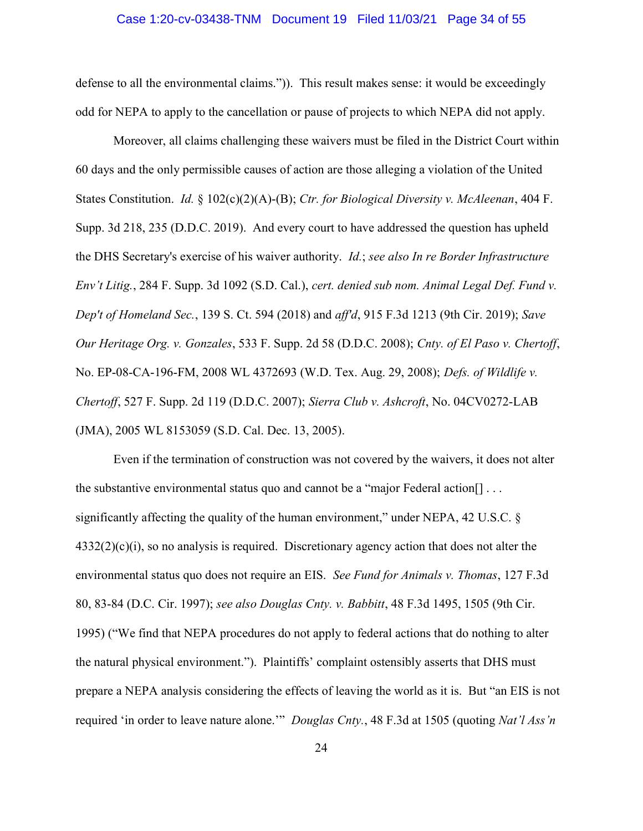#### Case 1:20-cv-03438-TNM Document 19 Filed 11/03/21 Page 34 of 55

defense to all the environmental claims.")). This result makes sense: it would be exceedingly odd for NEPA to apply to the cancellation or pause of projects to which NEPA did not apply.

Moreover, all claims challenging these waivers must be filed in the District Court within 60 days and the only permissible causes of action are those alleging a violation of the United States Constitution. *Id.* § 102(c)(2)(A)-(B); Ctr. for Biological Diversity v. McAleenan, 404 F. Supp. 3d 218, 235 (D.D.C. 2019). And every court to have addressed the question has upheld the DHS Secretary's exercise of his waiver authority. Id.; see also In re Border Infrastructure Env't Litig., 284 F. Supp. 3d 1092 (S.D. Cal.), cert. denied sub nom. Animal Legal Def. Fund v. Dep't of Homeland Sec., 139 S. Ct. 594 (2018) and aff'd, 915 F.3d 1213 (9th Cir. 2019); Save Our Heritage Org. v. Gonzales, 533 F. Supp. 2d 58 (D.D.C. 2008); Cnty. of El Paso v. Chertoff, No. EP-08-CA-196-FM, 2008 WL 4372693 (W.D. Tex. Aug. 29, 2008); Defs. of Wildlife v. Chertoff, 527 F. Supp. 2d 119 (D.D.C. 2007); Sierra Club v. Ashcroft, No. 04CV0272-LAB (JMA), 2005 WL 8153059 (S.D. Cal. Dec. 13, 2005).

Even if the termination of construction was not covered by the waivers, it does not alter the substantive environmental status quo and cannot be a "major Federal action[] . . . significantly affecting the quality of the human environment," under NEPA, 42 U.S.C. §  $4332(2)(c)(i)$ , so no analysis is required. Discretionary agency action that does not alter the environmental status quo does not require an EIS. See Fund for Animals v. Thomas, 127 F.3d 80, 83-84 (D.C. Cir. 1997); see also Douglas Cnty. v. Babbitt, 48 F.3d 1495, 1505 (9th Cir. 1995) ("We find that NEPA procedures do not apply to federal actions that do nothing to alter the natural physical environment."). Plaintiffs' complaint ostensibly asserts that DHS must prepare a NEPA analysis considering the effects of leaving the world as it is. But "an EIS is not required 'in order to leave nature alone." Douglas Cnty., 48 F.3d at 1505 (quoting Nat'l Ass'n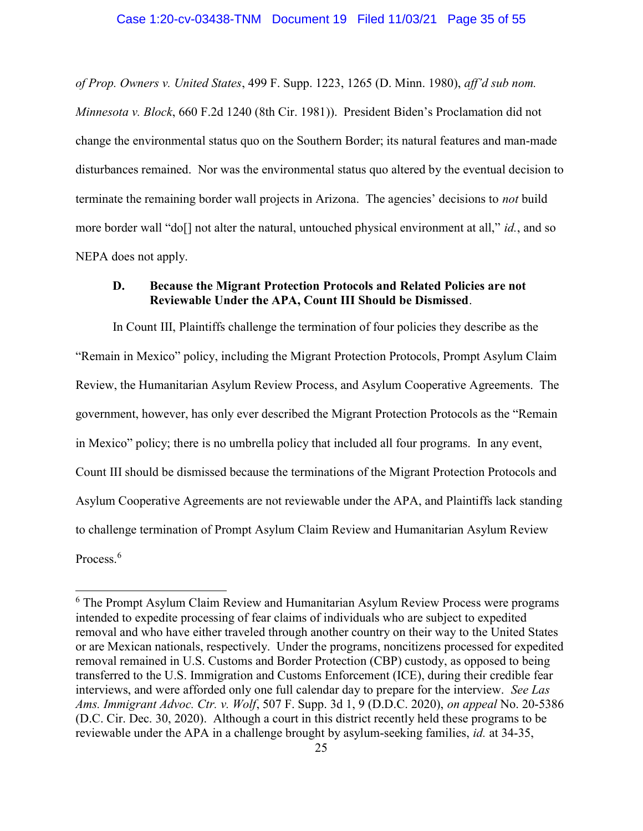of Prop. Owners v. United States, 499 F. Supp. 1223, 1265 (D. Minn. 1980), aff'd sub nom. Minnesota v. Block, 660 F.2d 1240 (8th Cir. 1981)). President Biden's Proclamation did not change the environmental status quo on the Southern Border; its natural features and man-made disturbances remained. Nor was the environmental status quo altered by the eventual decision to terminate the remaining border wall projects in Arizona. The agencies' decisions to not build more border wall "do[] not alter the natural, untouched physical environment at all," id., and so NEPA does not apply.

## D. Because the Migrant Protection Protocols and Related Policies are not Reviewable Under the APA, Count III Should be Dismissed.

In Count III, Plaintiffs challenge the termination of four policies they describe as the "Remain in Mexico" policy, including the Migrant Protection Protocols, Prompt Asylum Claim Review, the Humanitarian Asylum Review Process, and Asylum Cooperative Agreements. The government, however, has only ever described the Migrant Protection Protocols as the "Remain in Mexico" policy; there is no umbrella policy that included all four programs. In any event, Count III should be dismissed because the terminations of the Migrant Protection Protocols and Asylum Cooperative Agreements are not reviewable under the APA, and Plaintiffs lack standing to challenge termination of Prompt Asylum Claim Review and Humanitarian Asylum Review Process.<sup>6</sup>

÷

<sup>&</sup>lt;sup>6</sup> The Prompt Asylum Claim Review and Humanitarian Asylum Review Process were programs intended to expedite processing of fear claims of individuals who are subject to expedited removal and who have either traveled through another country on their way to the United States or are Mexican nationals, respectively. Under the programs, noncitizens processed for expedited removal remained in U.S. Customs and Border Protection (CBP) custody, as opposed to being transferred to the U.S. Immigration and Customs Enforcement (ICE), during their credible fear interviews, and were afforded only one full calendar day to prepare for the interview. See Las Ams. Immigrant Advoc. Ctr. v. Wolf, 507 F. Supp. 3d 1, 9 (D.D.C. 2020), on appeal No. 20-5386 (D.C. Cir. Dec. 30, 2020). Although a court in this district recently held these programs to be reviewable under the APA in a challenge brought by asylum-seeking families, id. at 34-35,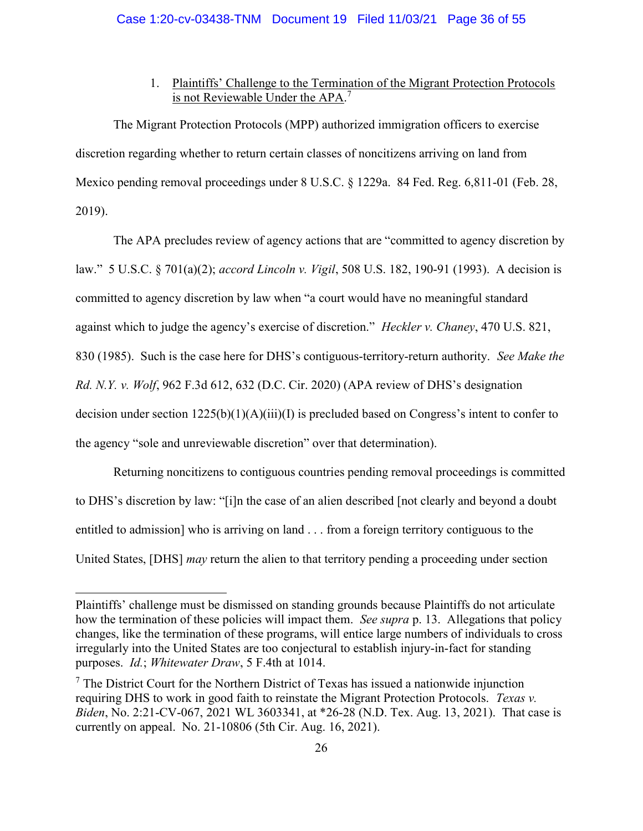## 1. Plaintiffs' Challenge to the Termination of the Migrant Protection Protocols is not Reviewable Under the APA.<sup>7</sup>

The Migrant Protection Protocols (MPP) authorized immigration officers to exercise discretion regarding whether to return certain classes of noncitizens arriving on land from Mexico pending removal proceedings under 8 U.S.C. § 1229a. 84 Fed. Reg. 6,811-01 (Feb. 28, 2019).

The APA precludes review of agency actions that are "committed to agency discretion by law." 5 U.S.C. § 701(a)(2); accord Lincoln v. Vigil, 508 U.S. 182, 190-91 (1993). A decision is committed to agency discretion by law when "a court would have no meaningful standard against which to judge the agency's exercise of discretion." Heckler v. Chaney, 470 U.S. 821, 830 (1985). Such is the case here for DHS's contiguous-territory-return authority. See Make the Rd. N.Y. v. Wolf, 962 F.3d 612, 632 (D.C. Cir. 2020) (APA review of DHS's designation decision under section 1225(b)(1)(A)(iii)(I) is precluded based on Congress's intent to confer to the agency "sole and unreviewable discretion" over that determination).

Returning noncitizens to contiguous countries pending removal proceedings is committed to DHS's discretion by law: "[i]n the case of an alien described [not clearly and beyond a doubt entitled to admission] who is arriving on land . . . from a foreign territory contiguous to the United States, [DHS] *may* return the alien to that territory pending a proceeding under section

÷

Plaintiffs' challenge must be dismissed on standing grounds because Plaintiffs do not articulate how the termination of these policies will impact them. See supra p. 13. Allegations that policy changes, like the termination of these programs, will entice large numbers of individuals to cross irregularly into the United States are too conjectural to establish injury-in-fact for standing purposes. Id.; Whitewater Draw, 5 F.4th at 1014.

 $<sup>7</sup>$  The District Court for the Northern District of Texas has issued a nationwide injunction</sup> requiring DHS to work in good faith to reinstate the Migrant Protection Protocols. Texas v. Biden, No. 2:21-CV-067, 2021 WL 3603341, at \*26-28 (N.D. Tex. Aug. 13, 2021). That case is currently on appeal. No. 21-10806 (5th Cir. Aug. 16, 2021).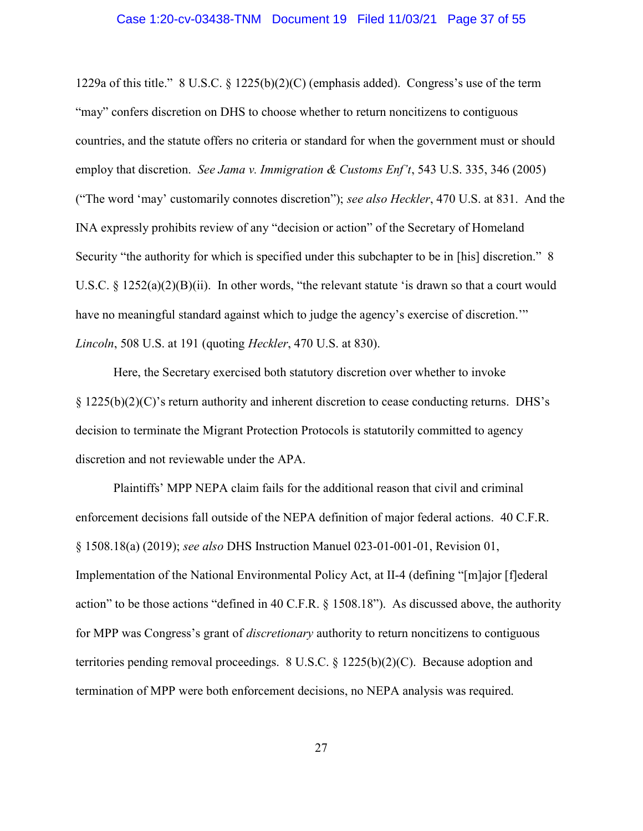#### Case 1:20-cv-03438-TNM Document 19 Filed 11/03/21 Page 37 of 55

1229a of this title."  $8 \text{ U.S.C.} \$   $1225(b)(2)(C)$  (emphasis added). Congress's use of the term "may" confers discretion on DHS to choose whether to return noncitizens to contiguous countries, and the statute offers no criteria or standard for when the government must or should employ that discretion. See Jama v. Immigration & Customs Enf't, 543 U.S. 335, 346 (2005) ("The word 'may' customarily connotes discretion"); see also Heckler, 470 U.S. at 831. And the INA expressly prohibits review of any "decision or action" of the Secretary of Homeland Security "the authority for which is specified under this subchapter to be in [his] discretion." 8 U.S.C. § 1252(a)(2)(B)(ii). In other words, "the relevant statute 'is drawn so that a court would have no meaningful standard against which to judge the agency's exercise of discretion." Lincoln, 508 U.S. at 191 (quoting Heckler, 470 U.S. at 830).

Here, the Secretary exercised both statutory discretion over whether to invoke  $\S 1225(b)(2)(C)$ 's return authority and inherent discretion to cease conducting returns. DHS's decision to terminate the Migrant Protection Protocols is statutorily committed to agency discretion and not reviewable under the APA.

Plaintiffs' MPP NEPA claim fails for the additional reason that civil and criminal enforcement decisions fall outside of the NEPA definition of major federal actions. 40 C.F.R. § 1508.18(a) (2019); see also DHS Instruction Manuel 023-01-001-01, Revision 01, Implementation of the National Environmental Policy Act, at II-4 (defining "[m]ajor [f]ederal action" to be those actions "defined in 40 C.F.R. § 1508.18"). As discussed above, the authority for MPP was Congress's grant of *discretionary* authority to return noncitizens to contiguous territories pending removal proceedings. 8 U.S.C. § 1225(b)(2)(C). Because adoption and termination of MPP were both enforcement decisions, no NEPA analysis was required.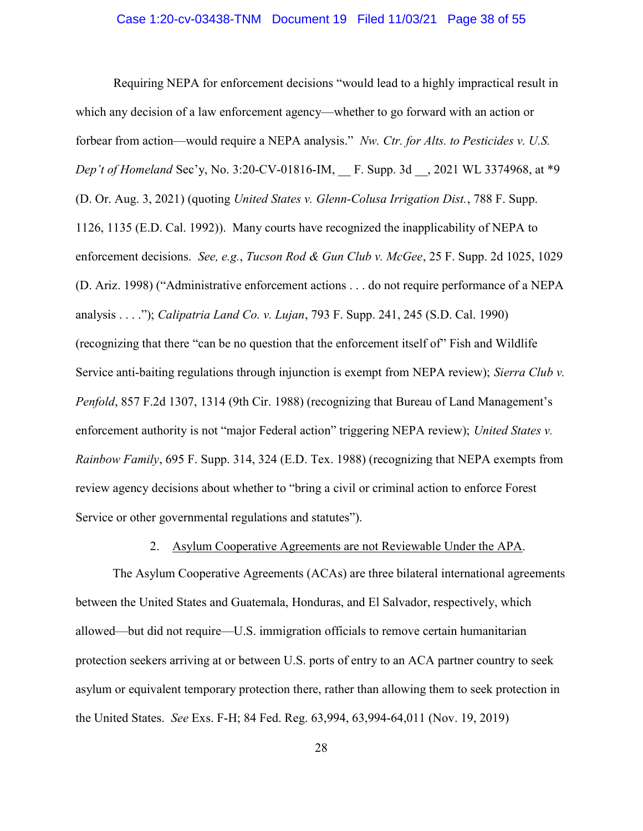Requiring NEPA for enforcement decisions "would lead to a highly impractical result in which any decision of a law enforcement agency—whether to go forward with an action or forbear from action—would require a NEPA analysis." Nw. Ctr. for Alts. to Pesticides v. U.S. Dep't of Homeland Sec'y, No. 3:20-CV-01816-IM, F. Supp. 3d , 2021 WL 3374968, at \*9 (D. Or. Aug. 3, 2021) (quoting United States v. Glenn-Colusa Irrigation Dist., 788 F. Supp. 1126, 1135 (E.D. Cal. 1992)). Many courts have recognized the inapplicability of NEPA to enforcement decisions. See, e.g., Tucson Rod & Gun Club v. McGee, 25 F. Supp. 2d 1025, 1029 (D. Ariz. 1998) ("Administrative enforcement actions . . . do not require performance of a NEPA analysis . . . ."); Calipatria Land Co. v. Lujan, 793 F. Supp. 241, 245 (S.D. Cal. 1990) (recognizing that there "can be no question that the enforcement itself of" Fish and Wildlife Service anti-baiting regulations through injunction is exempt from NEPA review); Sierra Club v. Penfold, 857 F.2d 1307, 1314 (9th Cir. 1988) (recognizing that Bureau of Land Management's enforcement authority is not "major Federal action" triggering NEPA review); United States v. Rainbow Family, 695 F. Supp. 314, 324 (E.D. Tex. 1988) (recognizing that NEPA exempts from review agency decisions about whether to "bring a civil or criminal action to enforce Forest Service or other governmental regulations and statutes").

#### 2. Asylum Cooperative Agreements are not Reviewable Under the APA.

The Asylum Cooperative Agreements (ACAs) are three bilateral international agreements between the United States and Guatemala, Honduras, and El Salvador, respectively, which allowed—but did not require—U.S. immigration officials to remove certain humanitarian protection seekers arriving at or between U.S. ports of entry to an ACA partner country to seek asylum or equivalent temporary protection there, rather than allowing them to seek protection in the United States. See Exs. F-H; 84 Fed. Reg. 63,994, 63,994-64,011 (Nov. 19, 2019)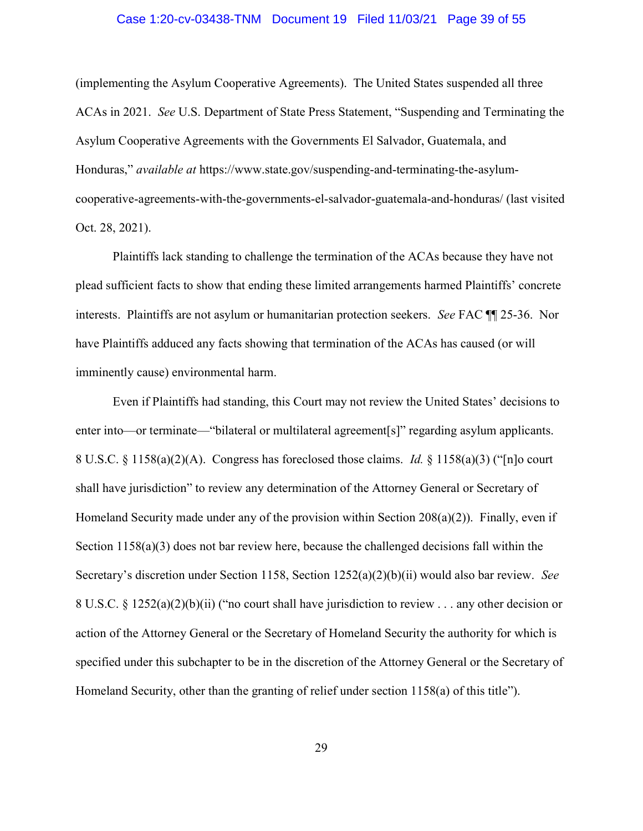#### Case 1:20-cv-03438-TNM Document 19 Filed 11/03/21 Page 39 of 55

(implementing the Asylum Cooperative Agreements). The United States suspended all three ACAs in 2021. See U.S. Department of State Press Statement, "Suspending and Terminating the Asylum Cooperative Agreements with the Governments El Salvador, Guatemala, and Honduras," available at https://www.state.gov/suspending-and-terminating-the-asylumcooperative-agreements-with-the-governments-el-salvador-guatemala-and-honduras/ (last visited Oct. 28, 2021).

Plaintiffs lack standing to challenge the termination of the ACAs because they have not plead sufficient facts to show that ending these limited arrangements harmed Plaintiffs' concrete interests. Plaintiffs are not asylum or humanitarian protection seekers. See FAC ¶¶ 25-36. Nor have Plaintiffs adduced any facts showing that termination of the ACAs has caused (or will imminently cause) environmental harm.

Even if Plaintiffs had standing, this Court may not review the United States' decisions to enter into—or terminate—"bilateral or multilateral agreement[s]" regarding asylum applicants. 8 U.S.C.  $\S$  1158(a)(2)(A). Congress has foreclosed those claims. *Id.*  $\S$  1158(a)(3) ("[n]o court shall have jurisdiction" to review any determination of the Attorney General or Secretary of Homeland Security made under any of the provision within Section 208(a)(2)). Finally, even if Section 1158(a)(3) does not bar review here, because the challenged decisions fall within the Secretary's discretion under Section 1158, Section 1252(a)(2)(b)(ii) would also bar review. See 8 U.S.C. § 1252(a)(2)(b)(ii) ("no court shall have jurisdiction to review . . . any other decision or action of the Attorney General or the Secretary of Homeland Security the authority for which is specified under this subchapter to be in the discretion of the Attorney General or the Secretary of Homeland Security, other than the granting of relief under section 1158(a) of this title").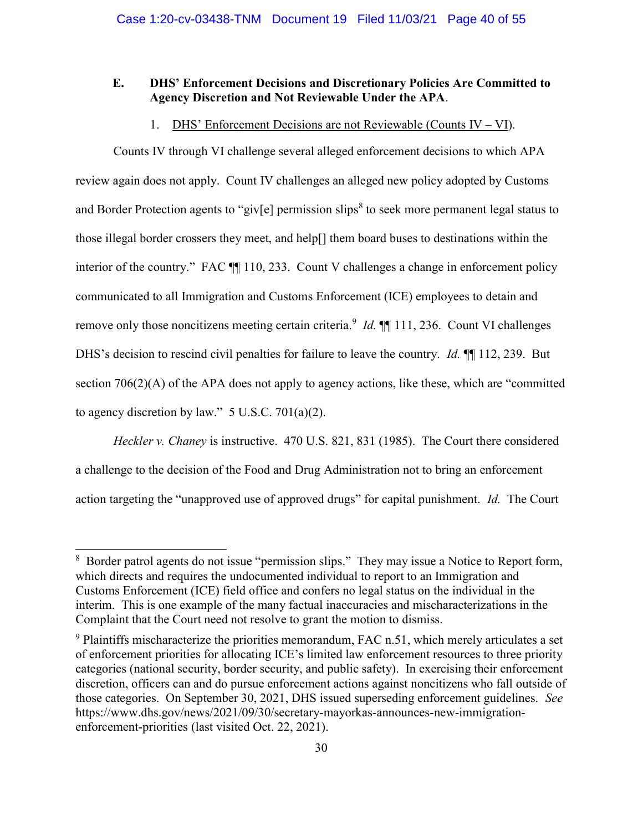## E. DHS' Enforcement Decisions and Discretionary Policies Are Committed to Agency Discretion and Not Reviewable Under the APA.

## 1. DHS' Enforcement Decisions are not Reviewable (Counts IV – VI).

Counts IV through VI challenge several alleged enforcement decisions to which APA review again does not apply. Count IV challenges an alleged new policy adopted by Customs and Border Protection agents to "giv[e] permission slips<sup>8</sup> to seek more permanent legal status to those illegal border crossers they meet, and help[] them board buses to destinations within the interior of the country." FAC  $\P$  110, 233. Count V challenges a change in enforcement policy communicated to all Immigration and Customs Enforcement (ICE) employees to detain and remove only those noncitizens meeting certain criteria.<sup>9</sup> *Id*.  $\P\P$  111, 236. Count VI challenges DHS's decision to rescind civil penalties for failure to leave the country. *Id.* ¶ [112, 239. But section 706(2)(A) of the APA does not apply to agency actions, like these, which are "committed to agency discretion by law."  $5$  U.S.C. 701(a)(2).

Heckler v. Chaney is instructive. 470 U.S. 821, 831 (1985). The Court there considered a challenge to the decision of the Food and Drug Administration not to bring an enforcement action targeting the "unapproved use of approved drugs" for capital punishment. Id. The Court

÷

<sup>&</sup>lt;sup>8</sup> Border patrol agents do not issue "permission slips." They may issue a Notice to Report form, which directs and requires the undocumented individual to report to an Immigration and Customs Enforcement (ICE) field office and confers no legal status on the individual in the interim. This is one example of the many factual inaccuracies and mischaracterizations in the Complaint that the Court need not resolve to grant the motion to dismiss.

 $9$  Plaintiffs mischaracterize the priorities memorandum, FAC n.51, which merely articulates a set of enforcement priorities for allocating ICE's limited law enforcement resources to three priority categories (national security, border security, and public safety). In exercising their enforcement discretion, officers can and do pursue enforcement actions against noncitizens who fall outside of those categories. On September 30, 2021, DHS issued superseding enforcement guidelines. See https://www.dhs.gov/news/2021/09/30/secretary-mayorkas-announces-new-immigrationenforcement-priorities (last visited Oct. 22, 2021).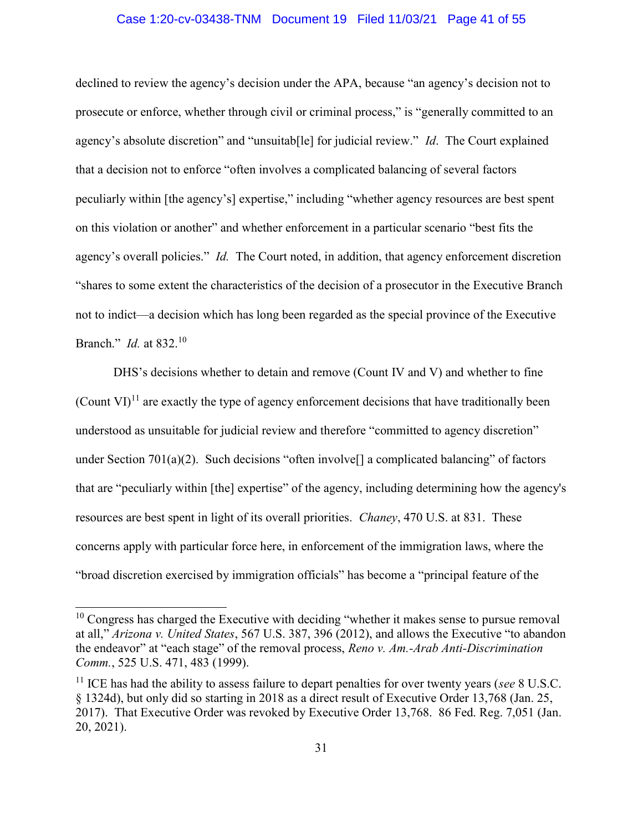#### Case 1:20-cv-03438-TNM Document 19 Filed 11/03/21 Page 41 of 55

declined to review the agency's decision under the APA, because "an agency's decision not to prosecute or enforce, whether through civil or criminal process," is "generally committed to an agency's absolute discretion" and "unsuitable" for judicial review." *Id.* The Court explained that a decision not to enforce "often involves a complicated balancing of several factors peculiarly within [the agency's] expertise," including "whether agency resources are best spent on this violation or another" and whether enforcement in a particular scenario "best fits the agency's overall policies." *Id.* The Court noted, in addition, that agency enforcement discretion "shares to some extent the characteristics of the decision of a prosecutor in the Executive Branch not to indict—a decision which has long been regarded as the special province of the Executive Branch." *Id.* at 832.<sup>10</sup>

DHS's decisions whether to detain and remove (Count IV and V) and whether to fine (Count  $\text{VI}^{11}$  are exactly the type of agency enforcement decisions that have traditionally been understood as unsuitable for judicial review and therefore "committed to agency discretion" under Section 701(a)(2). Such decisions "often involve<sup>[]</sup> a complicated balancing" of factors that are "peculiarly within [the] expertise" of the agency, including determining how the agency's resources are best spent in light of its overall priorities. Chaney, 470 U.S. at 831. These concerns apply with particular force here, in enforcement of the immigration laws, where the "broad discretion exercised by immigration officials" has become a "principal feature of the

÷

 $10$  Congress has charged the Executive with deciding "whether it makes sense to pursue removal at all," Arizona v. United States, 567 U.S. 387, 396 (2012), and allows the Executive "to abandon the endeavor" at "each stage" of the removal process, Reno v. Am.-Arab Anti-Discrimination Comm., 525 U.S. 471, 483 (1999).

<sup>&</sup>lt;sup>11</sup> ICE has had the ability to assess failure to depart penalties for over twenty years (see 8 U.S.C. § 1324d), but only did so starting in 2018 as a direct result of Executive Order 13,768 (Jan. 25, 2017). That Executive Order was revoked by Executive Order 13,768. 86 Fed. Reg. 7,051 (Jan. 20, 2021).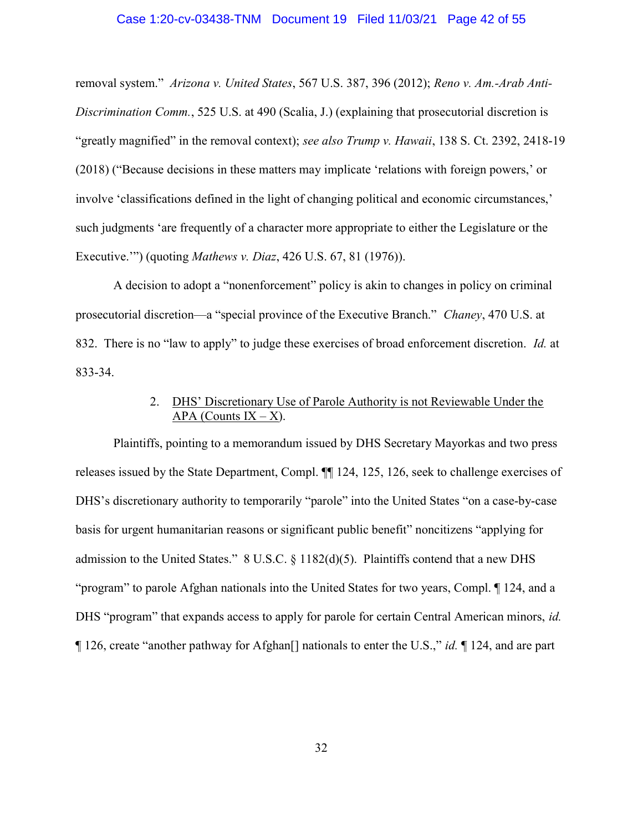#### Case 1:20-cv-03438-TNM Document 19 Filed 11/03/21 Page 42 of 55

removal system." Arizona v. United States, 567 U.S. 387, 396 (2012); Reno v. Am.-Arab Anti-Discrimination Comm., 525 U.S. at 490 (Scalia, J.) (explaining that prosecutorial discretion is "greatly magnified" in the removal context); see also Trump v. Hawaii, 138 S. Ct. 2392, 2418-19 (2018) ("Because decisions in these matters may implicate 'relations with foreign powers,' or involve 'classifications defined in the light of changing political and economic circumstances,' such judgments 'are frequently of a character more appropriate to either the Legislature or the Executive."") (quoting *Mathews v. Diaz*, 426 U.S. 67, 81 (1976)).

A decision to adopt a "nonenforcement" policy is akin to changes in policy on criminal prosecutorial discretion—a "special province of the Executive Branch." Chaney, 470 U.S. at 832. There is no "law to apply" to judge these exercises of broad enforcement discretion. Id. at 833-34.

## 2. DHS' Discretionary Use of Parole Authority is not Reviewable Under the APA (Counts  $IX - X$ ).

Plaintiffs, pointing to a memorandum issued by DHS Secretary Mayorkas and two press releases issued by the State Department, Compl. ¶¶ 124, 125, 126, seek to challenge exercises of DHS's discretionary authority to temporarily "parole" into the United States "on a case-by-case basis for urgent humanitarian reasons or significant public benefit" noncitizens "applying for admission to the United States." 8 U.S.C. § 1182(d)(5). Plaintiffs contend that a new DHS "program" to parole Afghan nationals into the United States for two years, Compl. ¶ 124, and a DHS "program" that expands access to apply for parole for certain Central American minors, id. ¶ 126, create "another pathway for Afghan[] nationals to enter the U.S.," id. ¶ 124, and are part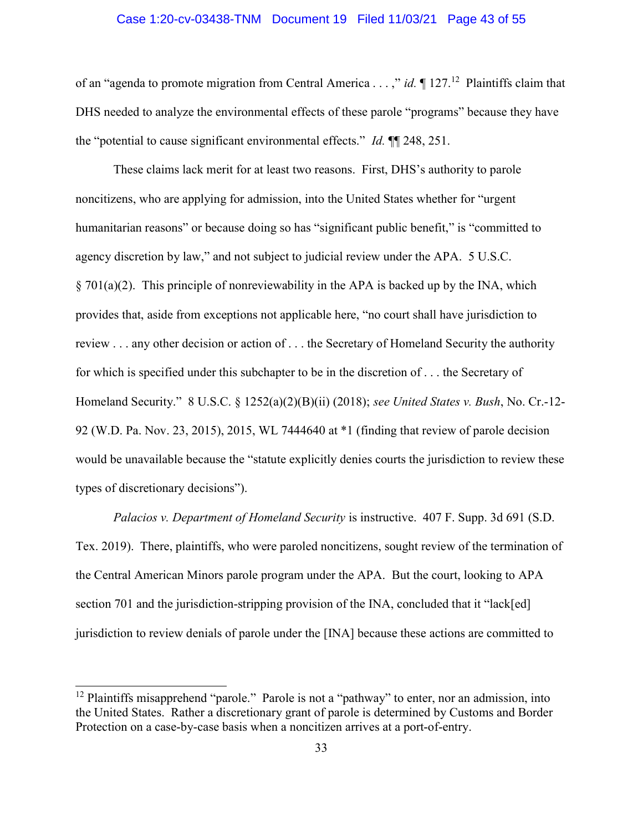#### Case 1:20-cv-03438-TNM Document 19 Filed 11/03/21 Page 43 of 55

of an "agenda to promote migration from Central America . . . ," id.  $\P$  127.<sup>12</sup> Plaintiffs claim that DHS needed to analyze the environmental effects of these parole "programs" because they have the "potential to cause significant environmental effects." Id. ¶¶ 248, 251.

These claims lack merit for at least two reasons. First, DHS's authority to parole noncitizens, who are applying for admission, into the United States whether for "urgent humanitarian reasons" or because doing so has "significant public benefit," is "committed to agency discretion by law," and not subject to judicial review under the APA. 5 U.S.C. § 701(a)(2). This principle of nonreviewability in the APA is backed up by the INA, which provides that, aside from exceptions not applicable here, "no court shall have jurisdiction to review . . . any other decision or action of . . . the Secretary of Homeland Security the authority for which is specified under this subchapter to be in the discretion of . . . the Secretary of Homeland Security." 8 U.S.C. § 1252(a)(2)(B)(ii) (2018); see United States v. Bush, No. Cr.-12- 92 (W.D. Pa. Nov. 23, 2015), 2015, WL 7444640 at \*1 (finding that review of parole decision would be unavailable because the "statute explicitly denies courts the jurisdiction to review these types of discretionary decisions").

Palacios v. Department of Homeland Security is instructive. 407 F. Supp. 3d 691 (S.D. Tex. 2019). There, plaintiffs, who were paroled noncitizens, sought review of the termination of the Central American Minors parole program under the APA. But the court, looking to APA section 701 and the jurisdiction-stripping provision of the INA, concluded that it "lack[ed] jurisdiction to review denials of parole under the [INA] because these actions are committed to

÷

<sup>&</sup>lt;sup>12</sup> Plaintiffs misapprehend "parole." Parole is not a "pathway" to enter, nor an admission, into the United States. Rather a discretionary grant of parole is determined by Customs and Border Protection on a case-by-case basis when a noncitizen arrives at a port-of-entry.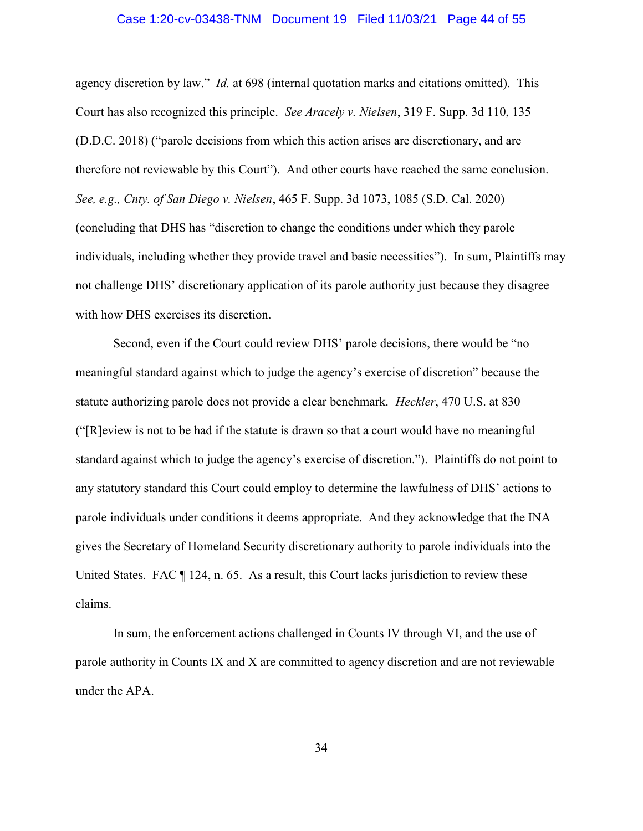#### Case 1:20-cv-03438-TNM Document 19 Filed 11/03/21 Page 44 of 55

agency discretion by law." Id. at 698 (internal quotation marks and citations omitted). This Court has also recognized this principle. See Aracely v. Nielsen, 319 F. Supp. 3d 110, 135 (D.D.C. 2018) ("parole decisions from which this action arises are discretionary, and are therefore not reviewable by this Court"). And other courts have reached the same conclusion. See, e.g., Cnty. of San Diego v. Nielsen, 465 F. Supp. 3d 1073, 1085 (S.D. Cal. 2020) (concluding that DHS has "discretion to change the conditions under which they parole individuals, including whether they provide travel and basic necessities"). In sum, Plaintiffs may not challenge DHS' discretionary application of its parole authority just because they disagree with how DHS exercises its discretion.

Second, even if the Court could review DHS' parole decisions, there would be "no meaningful standard against which to judge the agency's exercise of discretion" because the statute authorizing parole does not provide a clear benchmark. Heckler, 470 U.S. at 830 ("[R]eview is not to be had if the statute is drawn so that a court would have no meaningful standard against which to judge the agency's exercise of discretion."). Plaintiffs do not point to any statutory standard this Court could employ to determine the lawfulness of DHS' actions to parole individuals under conditions it deems appropriate. And they acknowledge that the INA gives the Secretary of Homeland Security discretionary authority to parole individuals into the United States. FAC  $\P$  124, n. 65. As a result, this Court lacks jurisdiction to review these claims.

In sum, the enforcement actions challenged in Counts IV through VI, and the use of parole authority in Counts IX and X are committed to agency discretion and are not reviewable under the APA.

34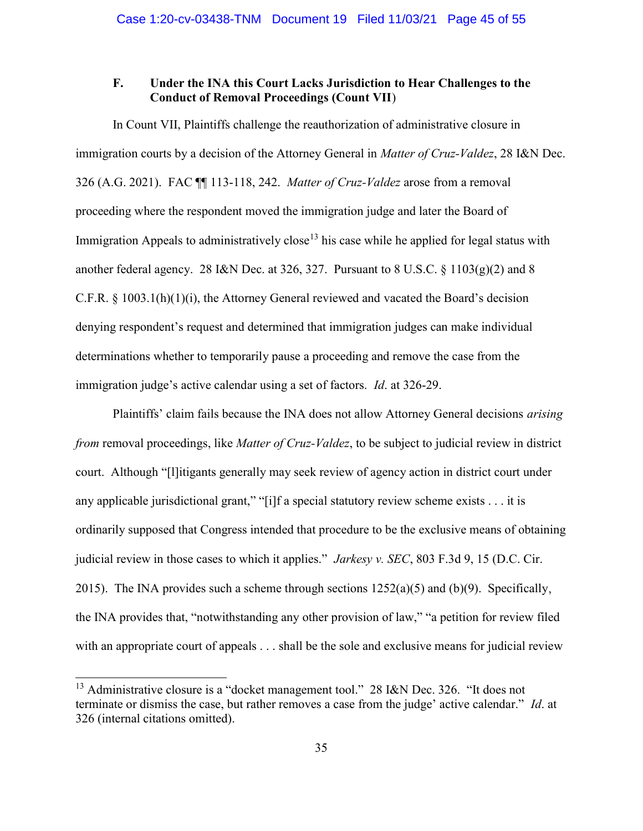## F. Under the INA this Court Lacks Jurisdiction to Hear Challenges to the Conduct of Removal Proceedings (Count VII)

In Count VII, Plaintiffs challenge the reauthorization of administrative closure in immigration courts by a decision of the Attorney General in *Matter of Cruz-Valdez*, 28 I&N Dec. 326 (A.G. 2021). FAC ¶¶ 113-118, 242. Matter of Cruz-Valdez arose from a removal proceeding where the respondent moved the immigration judge and later the Board of Immigration Appeals to administratively close<sup>13</sup> his case while he applied for legal status with another federal agency. 28 I&N Dec. at 326, 327. Pursuant to 8 U.S.C. § 1103(g)(2) and 8 C.F.R. § 1003.1(h)(1)(i), the Attorney General reviewed and vacated the Board's decision denying respondent's request and determined that immigration judges can make individual determinations whether to temporarily pause a proceeding and remove the case from the immigration judge's active calendar using a set of factors. Id. at 326-29.

Plaintiffs' claim fails because the INA does not allow Attorney General decisions *arising* from removal proceedings, like *Matter of Cruz-Valdez*, to be subject to judicial review in district court. Although "[l]itigants generally may seek review of agency action in district court under any applicable jurisdictional grant," "[i]f a special statutory review scheme exists . . . it is ordinarily supposed that Congress intended that procedure to be the exclusive means of obtaining judicial review in those cases to which it applies." *Jarkesy v. SEC*, 803 F.3d 9, 15 (D.C. Cir. 2015). The INA provides such a scheme through sections  $1252(a)(5)$  and  $(b)(9)$ . Specifically, the INA provides that, "notwithstanding any other provision of law," "a petition for review filed with an appropriate court of appeals . . . shall be the sole and exclusive means for judicial review

÷

<sup>&</sup>lt;sup>13</sup> Administrative closure is a "docket management tool." 28 I&N Dec. 326. "It does not terminate or dismiss the case, but rather removes a case from the judge' active calendar." Id. at 326 (internal citations omitted).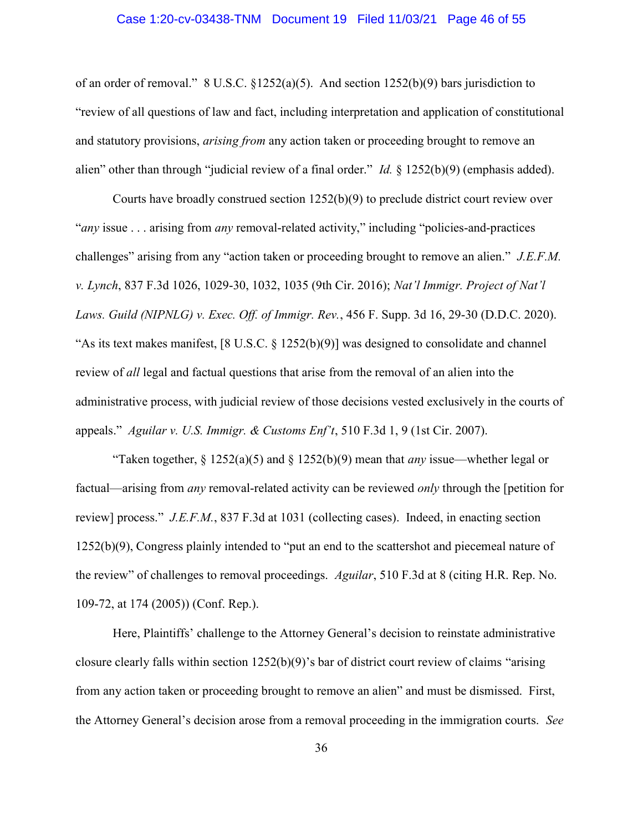#### Case 1:20-cv-03438-TNM Document 19 Filed 11/03/21 Page 46 of 55

of an order of removal." 8 U.S.C. §1252(a)(5). And section 1252(b)(9) bars jurisdiction to "review of all questions of law and fact, including interpretation and application of constitutional and statutory provisions, *arising from* any action taken or proceeding brought to remove an alien" other than through "judicial review of a final order." *Id.* § 1252(b)(9) (emphasis added).

Courts have broadly construed section 1252(b)(9) to preclude district court review over "any issue . . . arising from any removal-related activity," including "policies-and-practices" challenges" arising from any "action taken or proceeding brought to remove an alien." J.E.F.M. v. Lynch, 837 F.3d 1026, 1029-30, 1032, 1035 (9th Cir. 2016); Nat'l Immigr. Project of Nat'l Laws. Guild (NIPNLG) v. Exec. Off. of Immigr. Rev., 456 F. Supp. 3d 16, 29-30 (D.D.C. 2020). "As its text makes manifest, [8 U.S.C. § 1252(b)(9)] was designed to consolidate and channel review of all legal and factual questions that arise from the removal of an alien into the administrative process, with judicial review of those decisions vested exclusively in the courts of appeals." Aguilar v. U.S. Immigr. & Customs Enf't, 510 F.3d 1, 9 (1st Cir. 2007).

"Taken together,  $\S 1252(a)(5)$  and  $\S 1252(b)(9)$  mean that *any* issue—whether legal or factual—arising from any removal-related activity can be reviewed only through the [petition for review] process." J.E.F.M., 837 F.3d at 1031 (collecting cases). Indeed, in enacting section 1252(b)(9), Congress plainly intended to "put an end to the scattershot and piecemeal nature of the review" of challenges to removal proceedings. Aguilar, 510 F.3d at 8 (citing H.R. Rep. No. 109-72, at 174 (2005)) (Conf. Rep.).

Here, Plaintiffs' challenge to the Attorney General's decision to reinstate administrative closure clearly falls within section  $1252(b)(9)$ 's bar of district court review of claims "arising" from any action taken or proceeding brought to remove an alien" and must be dismissed. First, the Attorney General's decision arose from a removal proceeding in the immigration courts. See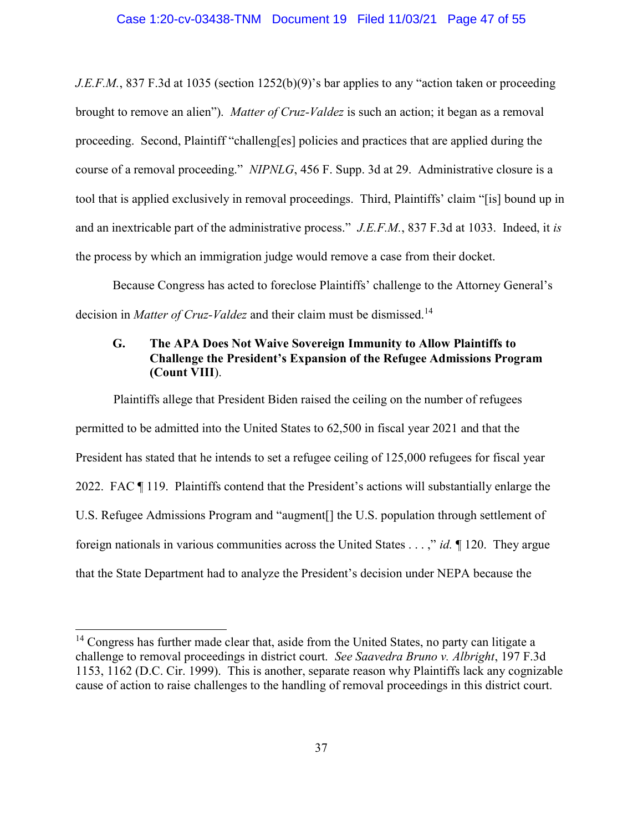J.E.F.M., 837 F.3d at 1035 (section 1252(b)(9)'s bar applies to any "action taken or proceeding brought to remove an alien"). *Matter of Cruz-Valdez* is such an action; it began as a removal proceeding. Second, Plaintiff "challeng[es] policies and practices that are applied during the course of a removal proceeding." NIPNLG, 456 F. Supp. 3d at 29. Administrative closure is a tool that is applied exclusively in removal proceedings. Third, Plaintiffs' claim "[is] bound up in and an inextricable part of the administrative process." J.E.F.M., 837 F.3d at 1033. Indeed, it is the process by which an immigration judge would remove a case from their docket.

Because Congress has acted to foreclose Plaintiffs' challenge to the Attorney General's decision in *Matter of Cruz-Valdez* and their claim must be dismissed.<sup>14</sup>

## G. The APA Does Not Waive Sovereign Immunity to Allow Plaintiffs to Challenge the President's Expansion of the Refugee Admissions Program (Count VIII).

Plaintiffs allege that President Biden raised the ceiling on the number of refugees permitted to be admitted into the United States to 62,500 in fiscal year 2021 and that the President has stated that he intends to set a refugee ceiling of 125,000 refugees for fiscal year 2022. FAC ¶ 119. Plaintiffs contend that the President's actions will substantially enlarge the U.S. Refugee Admissions Program and "augment[] the U.S. population through settlement of foreign nationals in various communities across the United States  $\dots$ ," id.  $\P$  120. They argue that the State Department had to analyze the President's decision under NEPA because the

÷

 $14$  Congress has further made clear that, aside from the United States, no party can litigate a challenge to removal proceedings in district court. See Saavedra Bruno v. Albright, 197 F.3d 1153, 1162 (D.C. Cir. 1999). This is another, separate reason why Plaintiffs lack any cognizable cause of action to raise challenges to the handling of removal proceedings in this district court.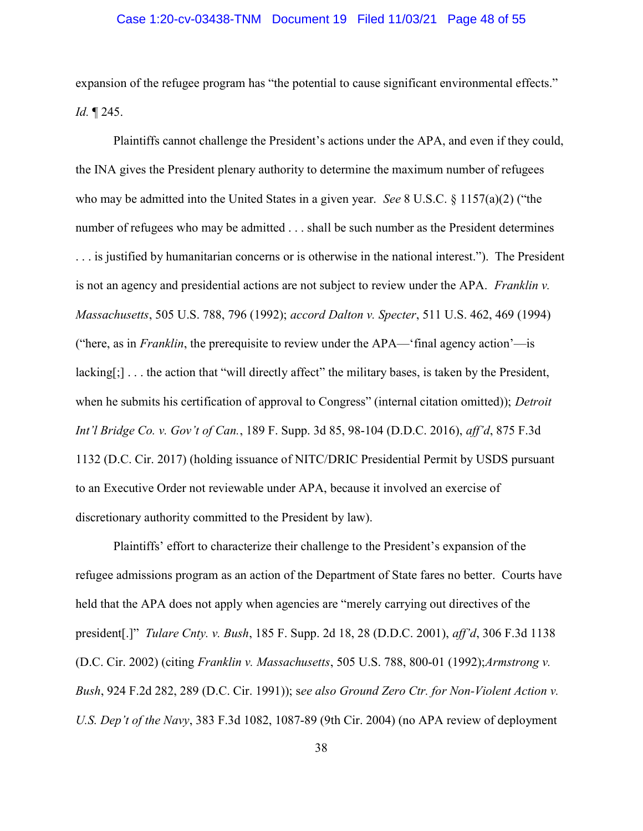#### Case 1:20-cv-03438-TNM Document 19 Filed 11/03/21 Page 48 of 55

expansion of the refugee program has "the potential to cause significant environmental effects." Id. ¶ 245.

Plaintiffs cannot challenge the President's actions under the APA, and even if they could, the INA gives the President plenary authority to determine the maximum number of refugees who may be admitted into the United States in a given year. See 8 U.S.C. § 1157(a)(2) ("the number of refugees who may be admitted . . . shall be such number as the President determines . . . is justified by humanitarian concerns or is otherwise in the national interest."). The President is not an agency and presidential actions are not subject to review under the APA. Franklin v. Massachusetts, 505 U.S. 788, 796 (1992); accord Dalton v. Specter, 511 U.S. 462, 469 (1994) ("here, as in *Franklin*, the prerequisite to review under the  $APA$ — $'$ final agency action'—is lacking[;]... the action that "will directly affect" the military bases, is taken by the President, when he submits his certification of approval to Congress" (internal citation omitted)); Detroit Int'l Bridge Co. v. Gov't of Can., 189 F. Supp. 3d 85, 98-104 (D.D.C. 2016), aff'd, 875 F.3d 1132 (D.C. Cir. 2017) (holding issuance of NITC/DRIC Presidential Permit by USDS pursuant to an Executive Order not reviewable under APA, because it involved an exercise of discretionary authority committed to the President by law).

Plaintiffs' effort to characterize their challenge to the President's expansion of the refugee admissions program as an action of the Department of State fares no better. Courts have held that the APA does not apply when agencies are "merely carrying out directives of the president[.]" Tulare Cnty. v. Bush, 185 F. Supp. 2d 18, 28 (D.D.C. 2001), aff'd, 306 F.3d 1138 (D.C. Cir. 2002) (citing Franklin v. Massachusetts, 505 U.S. 788, 800-01 (1992);Armstrong v. Bush, 924 F.2d 282, 289 (D.C. Cir. 1991)); see also Ground Zero Ctr. for Non-Violent Action v. U.S. Dep't of the Navy, 383 F.3d 1082, 1087-89 (9th Cir. 2004) (no APA review of deployment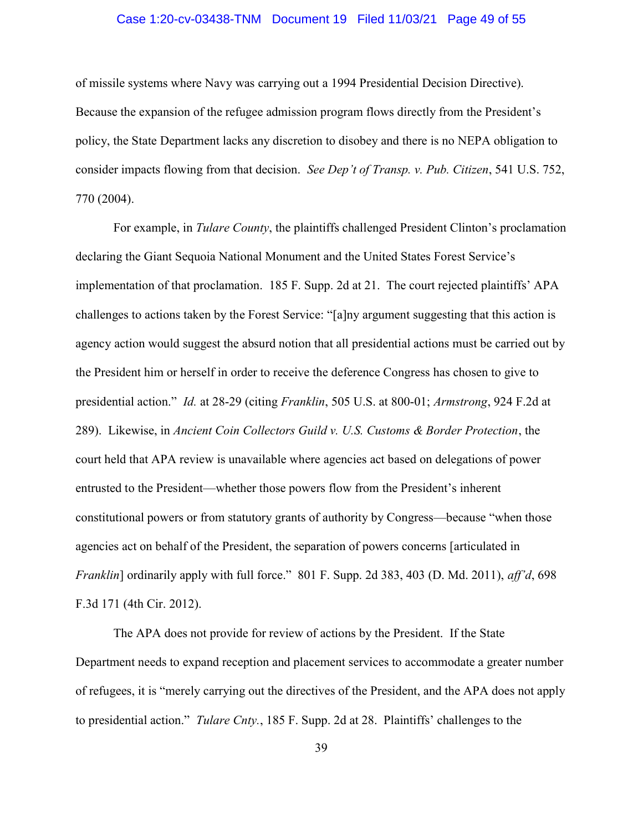#### Case 1:20-cv-03438-TNM Document 19 Filed 11/03/21 Page 49 of 55

of missile systems where Navy was carrying out a 1994 Presidential Decision Directive). Because the expansion of the refugee admission program flows directly from the President's policy, the State Department lacks any discretion to disobey and there is no NEPA obligation to consider impacts flowing from that decision. See Dep't of Transp. v. Pub. Citizen, 541 U.S. 752, 770 (2004).

For example, in *Tulare County*, the plaintiffs challenged President Clinton's proclamation declaring the Giant Sequoia National Monument and the United States Forest Service's implementation of that proclamation. 185 F. Supp. 2d at 21. The court rejected plaintiffs' APA challenges to actions taken by the Forest Service: "[a]ny argument suggesting that this action is agency action would suggest the absurd notion that all presidential actions must be carried out by the President him or herself in order to receive the deference Congress has chosen to give to presidential action." Id. at 28-29 (citing Franklin, 505 U.S. at 800-01; Armstrong, 924 F.2d at 289). Likewise, in Ancient Coin Collectors Guild v. U.S. Customs & Border Protection, the court held that APA review is unavailable where agencies act based on delegations of power entrusted to the President—whether those powers flow from the President's inherent constitutional powers or from statutory grants of authority by Congress—because "when those agencies act on behalf of the President, the separation of powers concerns [articulated in Franklin] ordinarily apply with full force." 801 F. Supp. 2d 383, 403 (D. Md. 2011), aff'd, 698 F.3d 171 (4th Cir. 2012).

The APA does not provide for review of actions by the President. If the State Department needs to expand reception and placement services to accommodate a greater number of refugees, it is "merely carrying out the directives of the President, and the APA does not apply to presidential action." Tulare Cnty., 185 F. Supp. 2d at 28. Plaintiffs' challenges to the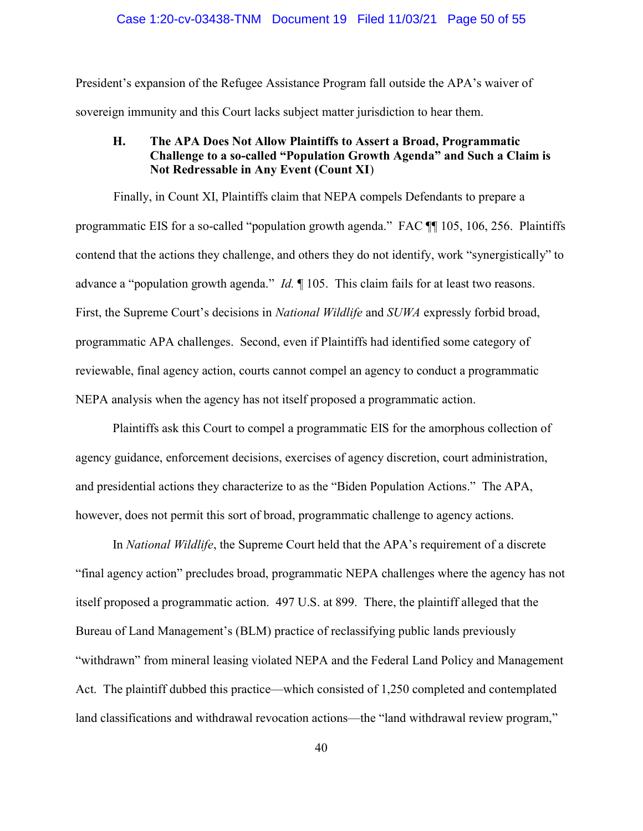President's expansion of the Refugee Assistance Program fall outside the APA's waiver of sovereign immunity and this Court lacks subject matter jurisdiction to hear them.

## H. The APA Does Not Allow Plaintiffs to Assert a Broad, Programmatic Challenge to a so-called "Population Growth Agenda" and Such a Claim is Not Redressable in Any Event (Count XI)

 Finally, in Count XI, Plaintiffs claim that NEPA compels Defendants to prepare a programmatic EIS for a so-called "population growth agenda." FAC ¶¶ 105, 106, 256. Plaintiffs contend that the actions they challenge, and others they do not identify, work "synergistically" to advance a "population growth agenda." *Id.*  $\parallel$  105. This claim fails for at least two reasons. First, the Supreme Court's decisions in National Wildlife and SUWA expressly forbid broad, programmatic APA challenges. Second, even if Plaintiffs had identified some category of reviewable, final agency action, courts cannot compel an agency to conduct a programmatic NEPA analysis when the agency has not itself proposed a programmatic action.

Plaintiffs ask this Court to compel a programmatic EIS for the amorphous collection of agency guidance, enforcement decisions, exercises of agency discretion, court administration, and presidential actions they characterize to as the "Biden Population Actions." The APA, however, does not permit this sort of broad, programmatic challenge to agency actions.

In *National Wildlife*, the Supreme Court held that the APA's requirement of a discrete "final agency action" precludes broad, programmatic NEPA challenges where the agency has not itself proposed a programmatic action. 497 U.S. at 899. There, the plaintiff alleged that the Bureau of Land Management's (BLM) practice of reclassifying public lands previously "withdrawn" from mineral leasing violated NEPA and the Federal Land Policy and Management Act. The plaintiff dubbed this practice—which consisted of 1,250 completed and contemplated land classifications and withdrawal revocation actions—the "land withdrawal review program,"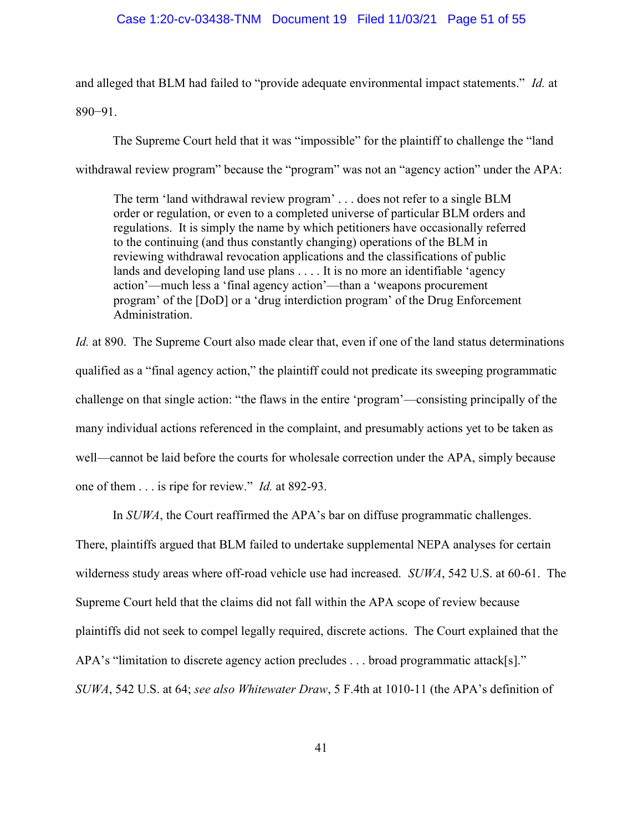#### Case 1:20-cv-03438-TNM Document 19 Filed 11/03/21 Page 51 of 55

and alleged that BLM had failed to "provide adequate environmental impact statements." Id. at 890−91.

The Supreme Court held that it was "impossible" for the plaintiff to challenge the "land withdrawal review program" because the "program" was not an "agency action" under the APA:

The term 'land withdrawal review program' . . . does not refer to a single BLM order or regulation, or even to a completed universe of particular BLM orders and regulations. It is simply the name by which petitioners have occasionally referred to the continuing (and thus constantly changing) operations of the BLM in reviewing withdrawal revocation applications and the classifications of public lands and developing land use plans . . . . It is no more an identifiable 'agency action'—much less a 'final agency action'—than a 'weapons procurement program' of the [DoD] or a 'drug interdiction program' of the Drug Enforcement Administration.

Id. at 890. The Supreme Court also made clear that, even if one of the land status determinations qualified as a "final agency action," the plaintiff could not predicate its sweeping programmatic challenge on that single action: "the flaws in the entire 'program'—consisting principally of the many individual actions referenced in the complaint, and presumably actions yet to be taken as well—cannot be laid before the courts for wholesale correction under the APA, simply because one of them . . . is ripe for review." Id. at 892-93.

In SUWA, the Court reaffirmed the APA's bar on diffuse programmatic challenges. There, plaintiffs argued that BLM failed to undertake supplemental NEPA analyses for certain wilderness study areas where off-road vehicle use had increased. SUWA, 542 U.S. at 60-61. The Supreme Court held that the claims did not fall within the APA scope of review because plaintiffs did not seek to compel legally required, discrete actions. The Court explained that the APA's "limitation to discrete agency action precludes . . . broad programmatic attack[s]." SUWA, 542 U.S. at 64; see also Whitewater Draw, 5 F.4th at 1010-11 (the APA's definition of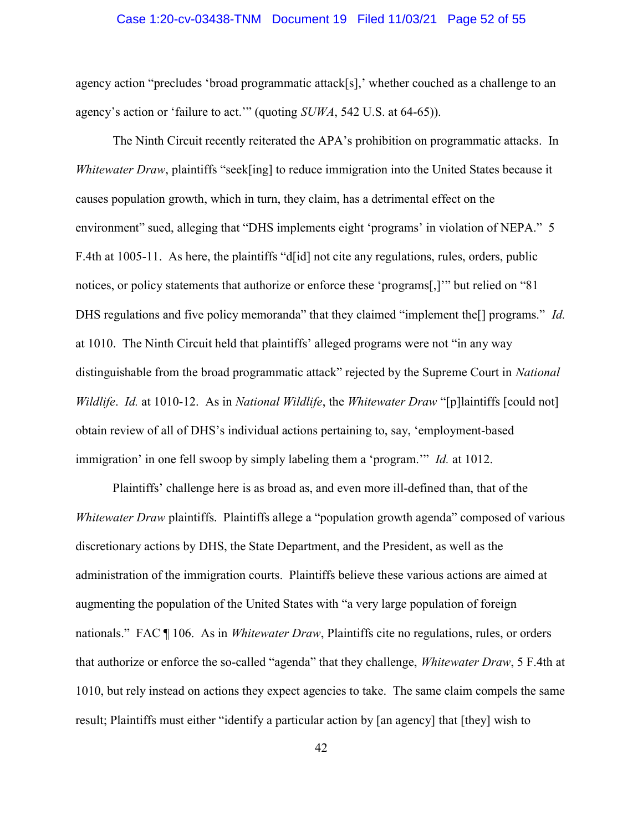#### Case 1:20-cv-03438-TNM Document 19 Filed 11/03/21 Page 52 of 55

agency action "precludes 'broad programmatic attack[s],' whether couched as a challenge to an agency's action or 'failure to act.'" (quoting SUWA, 542 U.S. at 64-65)).

The Ninth Circuit recently reiterated the APA's prohibition on programmatic attacks. In Whitewater Draw, plaintiffs "seek[ing] to reduce immigration into the United States because it causes population growth, which in turn, they claim, has a detrimental effect on the environment" sued, alleging that "DHS implements eight 'programs' in violation of NEPA." 5 F.4th at 1005-11. As here, the plaintiffs "d[id] not cite any regulations, rules, orders, public notices, or policy statements that authorize or enforce these 'programs[,]'" but relied on "81 DHS regulations and five policy memoranda" that they claimed "implement the<sup>[]</sup> programs." *Id.* at 1010. The Ninth Circuit held that plaintiffs' alleged programs were not "in any way distinguishable from the broad programmatic attack" rejected by the Supreme Court in National Wildlife. Id. at 1010-12. As in National Wildlife, the Whitewater Draw "[p] laintiffs [could not] obtain review of all of DHS's individual actions pertaining to, say, 'employment-based immigration' in one fell swoop by simply labeling them a 'program.'" Id. at 1012.

Plaintiffs' challenge here is as broad as, and even more ill-defined than, that of the Whitewater Draw plaintiffs. Plaintiffs allege a "population growth agenda" composed of various discretionary actions by DHS, the State Department, and the President, as well as the administration of the immigration courts. Plaintiffs believe these various actions are aimed at augmenting the population of the United States with "a very large population of foreign nationals." FAC  $\P$  106. As in *Whitewater Draw*, Plaintiffs cite no regulations, rules, or orders that authorize or enforce the so-called "agenda" that they challenge, Whitewater Draw, 5 F.4th at 1010, but rely instead on actions they expect agencies to take. The same claim compels the same result; Plaintiffs must either "identify a particular action by [an agency] that [they] wish to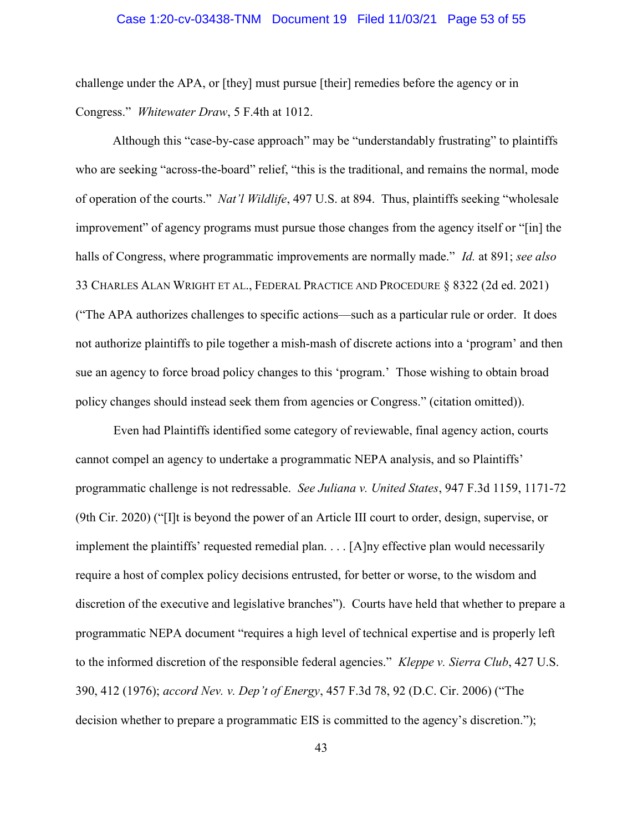#### Case 1:20-cv-03438-TNM Document 19 Filed 11/03/21 Page 53 of 55

challenge under the APA, or [they] must pursue [their] remedies before the agency or in Congress." Whitewater Draw, 5 F.4th at 1012.

Although this "case-by-case approach" may be "understandably frustrating" to plaintiffs who are seeking "across-the-board" relief, "this is the traditional, and remains the normal, mode of operation of the courts." Nat'l Wildlife, 497 U.S. at 894. Thus, plaintiffs seeking "wholesale improvement" of agency programs must pursue those changes from the agency itself or "[in] the halls of Congress, where programmatic improvements are normally made." *Id.* at 891; see also 33 CHARLES ALAN WRIGHT ET AL., FEDERAL PRACTICE AND PROCEDURE § 8322 (2d ed. 2021) ("The APA authorizes challenges to specific actions—such as a particular rule or order. It does not authorize plaintiffs to pile together a mish-mash of discrete actions into a 'program' and then sue an agency to force broad policy changes to this 'program.' Those wishing to obtain broad policy changes should instead seek them from agencies or Congress." (citation omitted)).

Even had Plaintiffs identified some category of reviewable, final agency action, courts cannot compel an agency to undertake a programmatic NEPA analysis, and so Plaintiffs' programmatic challenge is not redressable. See Juliana v. United States, 947 F.3d 1159, 1171-72 (9th Cir. 2020) ("[I]t is beyond the power of an Article III court to order, design, supervise, or implement the plaintiffs' requested remedial plan. . . . [A]ny effective plan would necessarily require a host of complex policy decisions entrusted, for better or worse, to the wisdom and discretion of the executive and legislative branches"). Courts have held that whether to prepare a programmatic NEPA document "requires a high level of technical expertise and is properly left to the informed discretion of the responsible federal agencies." *Kleppe v. Sierra Club*, 427 U.S. 390, 412 (1976); accord Nev. v. Dep't of Energy, 457 F.3d 78, 92 (D.C. Cir. 2006) ("The decision whether to prepare a programmatic EIS is committed to the agency's discretion.");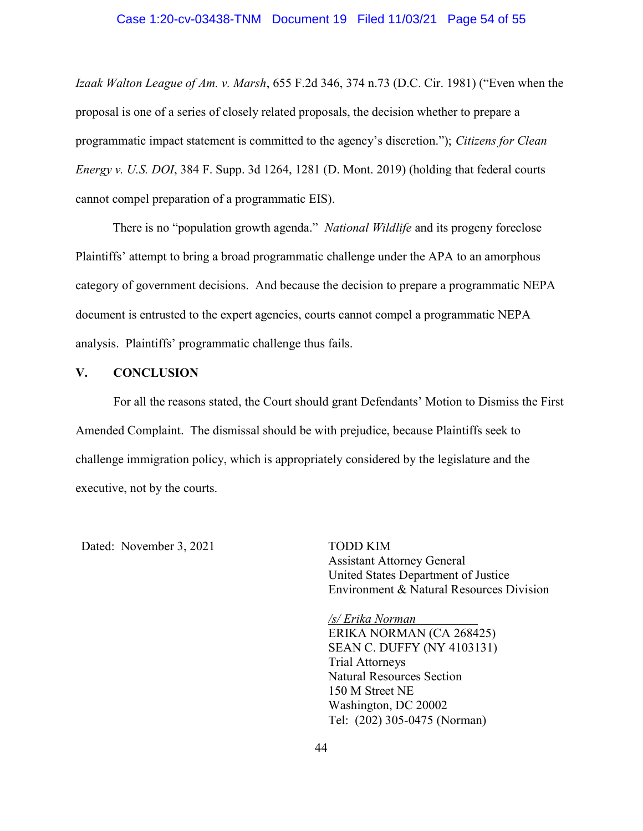#### Case 1:20-cv-03438-TNM Document 19 Filed 11/03/21 Page 54 of 55

Izaak Walton League of Am. v. Marsh, 655 F.2d 346, 374 n.73 (D.C. Cir. 1981) ("Even when the proposal is one of a series of closely related proposals, the decision whether to prepare a programmatic impact statement is committed to the agency's discretion."); Citizens for Clean *Energy v. U.S. DOI*, 384 F. Supp. 3d 1264, 1281 (D. Mont. 2019) (holding that federal courts cannot compel preparation of a programmatic EIS).

There is no "population growth agenda." *National Wildlife* and its progeny foreclose Plaintiffs' attempt to bring a broad programmatic challenge under the APA to an amorphous category of government decisions. And because the decision to prepare a programmatic NEPA document is entrusted to the expert agencies, courts cannot compel a programmatic NEPA analysis. Plaintiffs' programmatic challenge thus fails.

#### V. CONCLUSION

For all the reasons stated, the Court should grant Defendants' Motion to Dismiss the First Amended Complaint. The dismissal should be with prejudice, because Plaintiffs seek to challenge immigration policy, which is appropriately considered by the legislature and the executive, not by the courts.

Dated: November 3, 2021 TODD KIM

Assistant Attorney General United States Department of Justice Environment & Natural Resources Division

/s/ Erika Norman ERIKA NORMAN (CA 268425) SEAN C. DUFFY (NY 4103131) Trial Attorneys Natural Resources Section 150 M Street NE Washington, DC 20002 Tel: (202) 305-0475 (Norman)